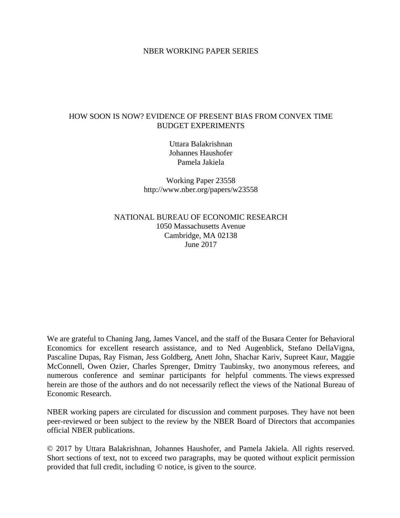## NBER WORKING PAPER SERIES

## HOW SOON IS NOW? EVIDENCE OF PRESENT BIAS FROM CONVEX TIME BUDGET EXPERIMENTS

Uttara Balakrishnan Johannes Haushofer Pamela Jakiela

Working Paper 23558 http://www.nber.org/papers/w23558

NATIONAL BUREAU OF ECONOMIC RESEARCH 1050 Massachusetts Avenue Cambridge, MA 02138 June 2017

We are grateful to Chaning Jang, James Vancel, and the staff of the Busara Center for Behavioral Economics for excellent research assistance, and to Ned Augenblick, Stefano DellaVigna, Pascaline Dupas, Ray Fisman, Jess Goldberg, Anett John, Shachar Kariv, Supreet Kaur, Maggie McConnell, Owen Ozier, Charles Sprenger, Dmitry Taubinsky, two anonymous referees, and numerous conference and seminar participants for helpful comments. The views expressed herein are those of the authors and do not necessarily reflect the views of the National Bureau of Economic Research.

NBER working papers are circulated for discussion and comment purposes. They have not been peer-reviewed or been subject to the review by the NBER Board of Directors that accompanies official NBER publications.

© 2017 by Uttara Balakrishnan, Johannes Haushofer, and Pamela Jakiela. All rights reserved. Short sections of text, not to exceed two paragraphs, may be quoted without explicit permission provided that full credit, including © notice, is given to the source.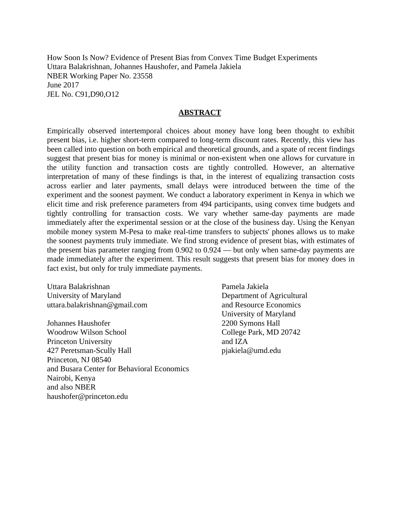How Soon Is Now? Evidence of Present Bias from Convex Time Budget Experiments Uttara Balakrishnan, Johannes Haushofer, and Pamela Jakiela NBER Working Paper No. 23558 June 2017 JEL No. C91,D90,O12

## **ABSTRACT**

Empirically observed intertemporal choices about money have long been thought to exhibit present bias, i.e. higher short-term compared to long-term discount rates. Recently, this view has been called into question on both empirical and theoretical grounds, and a spate of recent findings suggest that present bias for money is minimal or non-existent when one allows for curvature in the utility function and transaction costs are tightly controlled. However, an alternative interpretation of many of these findings is that, in the interest of equalizing transaction costs across earlier and later payments, small delays were introduced between the time of the experiment and the soonest payment. We conduct a laboratory experiment in Kenya in which we elicit time and risk preference parameters from 494 participants, using convex time budgets and tightly controlling for transaction costs. We vary whether same-day payments are made immediately after the experimental session or at the close of the business day. Using the Kenyan mobile money system M-Pesa to make real-time transfers to subjects' phones allows us to make the soonest payments truly immediate. We find strong evidence of present bias, with estimates of the present bias parameter ranging from 0.902 to 0.924 — but only when same-day payments are made immediately after the experiment. This result suggests that present bias for money does in fact exist, but only for truly immediate payments.

Uttara Balakrishnan University of Maryland uttara.balakrishnan@gmail.com

Johannes Haushofer Woodrow Wilson School Princeton University 427 Peretsman-Scully Hall Princeton, NJ 08540 and Busara Center for Behavioral Economics Nairobi, Kenya and also NBER haushofer@princeton.edu

Pamela Jakiela Department of Agricultural and Resource Economics University of Maryland 2200 Symons Hall College Park, MD 20742 and IZA pjakiela@umd.edu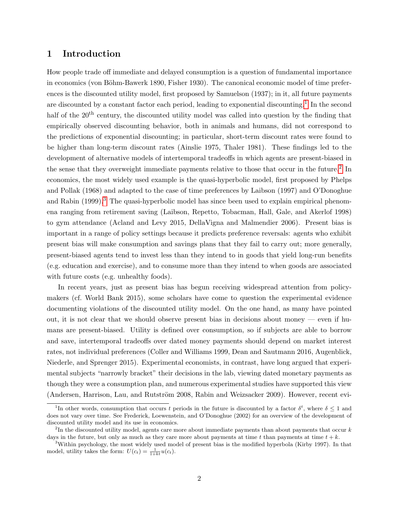## 1 Introduction

How people trade off immediate and delayed consumption is a question of fundamental importance in economics (von Böhm-Bawerk 1890, Fisher 1930). The canonical economic model of time preferences is the discounted utility model, first proposed by Samuelson (1937); in it, all future payments are discounted by a constant factor each period, leading to exponential discounting.<sup>[1](#page-2-0)</sup> In the second half of the 20<sup>th</sup> century, the discounted utility model was called into question by the finding that empirically observed discounting behavior, both in animals and humans, did not correspond to the predictions of exponential discounting; in particular, short-term discount rates were found to be higher than long-term discount rates (Ainslie 1975, Thaler 1981). These findings led to the development of alternative models of intertemporal tradeoffs in which agents are present-biased in the sense that they overweight immediate payments relative to those that occur in the future.<sup>[2](#page-2-1)</sup> In economics, the most widely used example is the quasi-hyperbolic model, first proposed by Phelps and Pollak (1968) and adapted to the case of time preferences by Laibson (1997) and O'Donoghue and Rabin (1999).<sup>[3](#page-2-2)</sup> The quasi-hyperbolic model has since been used to explain empirical phenomena ranging from retirement saving (Laibson, Repetto, Tobacman, Hall, Gale, and Akerlof 1998) to gym attendance (Acland and Levy 2015, DellaVigna and Malmendier 2006). Present bias is important in a range of policy settings because it predicts preference reversals: agents who exhibit present bias will make consumption and savings plans that they fail to carry out; more generally, present-biased agents tend to invest less than they intend to in goods that yield long-run benefits (e.g. education and exercise), and to consume more than they intend to when goods are associated with future costs (e.g. unhealthy foods).

In recent years, just as present bias has begun receiving widespread attention from policymakers (cf. World Bank 2015), some scholars have come to question the experimental evidence documenting violations of the discounted utility model. On the one hand, as many have pointed out, it is not clear that we should observe present bias in decisions about money — even if humans are present-biased. Utility is defined over consumption, so if subjects are able to borrow and save, intertemporal tradeoffs over dated money payments should depend on market interest rates, not individual preferences (Coller and Williams 1999, Dean and Sautmann 2016, Augenblick, Niederle, and Sprenger 2015). Experimental economists, in contrast, have long argued that experimental subjects "narrowly bracket" their decisions in the lab, viewing dated monetary payments as though they were a consumption plan, and numerous experimental studies have supported this view (Andersen, Harrison, Lau, and Rutström 2008, Rabin and Weizsacker 2009). However, recent evi-

<span id="page-2-0"></span><sup>&</sup>lt;sup>1</sup>In other words, consumption that occurs t periods in the future is discounted by a factor  $\delta^t$ , where  $\delta \leq 1$  and does not vary over time. See Frederick, Loewenstein, and O'Donoghue (2002) for an overview of the development of discounted utility model and its use in economics.

<span id="page-2-1"></span><sup>&</sup>lt;sup>2</sup>In the discounted utility model, agents care more about immediate payments than about payments that occur  $k$ days in the future, but only as much as they care more about payments at time t than payments at time  $t + k$ .

<span id="page-2-2"></span><sup>3</sup>Within psychology, the most widely used model of present bias is the modified hyperbola (Kirby 1997). In that model, utility takes the form:  $U(c_t) = \frac{1}{1+kt}u(c_t)$ .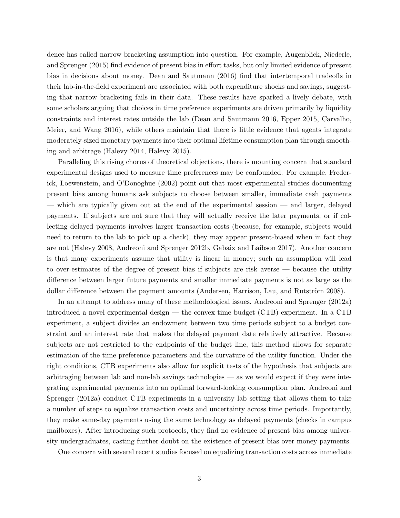dence has called narrow bracketing assumption into question. For example, Augenblick, Niederle, and Sprenger (2015) find evidence of present bias in effort tasks, but only limited evidence of present bias in decisions about money. Dean and Sautmann (2016) find that intertemporal tradeoffs in their lab-in-the-field experiment are associated with both expenditure shocks and savings, suggesting that narrow bracketing fails in their data. These results have sparked a lively debate, with some scholars arguing that choices in time preference experiments are driven primarily by liquidity constraints and interest rates outside the lab (Dean and Sautmann 2016, Epper 2015, Carvalho, Meier, and Wang 2016), while others maintain that there is little evidence that agents integrate moderately-sized monetary payments into their optimal lifetime consumption plan through smoothing and arbitrage (Halevy 2014, Halevy 2015).

Paralleling this rising chorus of theoretical objections, there is mounting concern that standard experimental designs used to measure time preferences may be confounded. For example, Frederick, Loewenstein, and O'Donoghue (2002) point out that most experimental studies documenting present bias among humans ask subjects to choose between smaller, immediate cash payments — which are typically given out at the end of the experimental session — and larger, delayed payments. If subjects are not sure that they will actually receive the later payments, or if collecting delayed payments involves larger transaction costs (because, for example, subjects would need to return to the lab to pick up a check), they may appear present-biased when in fact they are not (Halevy 2008, Andreoni and Sprenger 2012b, Gabaix and Laibson 2017). Another concern is that many experiments assume that utility is linear in money; such an assumption will lead to over-estimates of the degree of present bias if subjects are risk averse — because the utility difference between larger future payments and smaller immediate payments is not as large as the dollar difference between the payment amounts (Andersen, Harrison, Lau, and Rutström 2008).

In an attempt to address many of these methodological issues, Andreoni and Sprenger (2012a) introduced a novel experimental design — the convex time budget (CTB) experiment. In a CTB experiment, a subject divides an endowment between two time periods subject to a budget constraint and an interest rate that makes the delayed payment date relatively attractive. Because subjects are not restricted to the endpoints of the budget line, this method allows for separate estimation of the time preference parameters and the curvature of the utility function. Under the right conditions, CTB experiments also allow for explicit tests of the hypothesis that subjects are arbitraging between lab and non-lab savings technologies — as we would expect if they were integrating experimental payments into an optimal forward-looking consumption plan. Andreoni and Sprenger (2012a) conduct CTB experiments in a university lab setting that allows them to take a number of steps to equalize transaction costs and uncertainty across time periods. Importantly, they make same-day payments using the same technology as delayed payments (checks in campus mailboxes). After introducing such protocols, they find no evidence of present bias among university undergraduates, casting further doubt on the existence of present bias over money payments.

One concern with several recent studies focused on equalizing transaction costs across immediate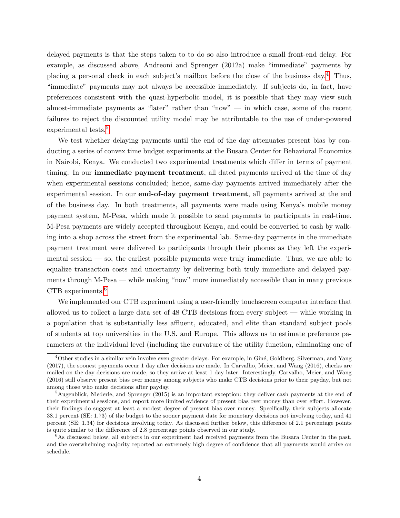delayed payments is that the steps taken to to do so also introduce a small front-end delay. For example, as discussed above, Andreoni and Sprenger (2012a) make "immediate" payments by placing a personal check in each subject's mailbox before the close of the business day.[4](#page-4-0) Thus, "immediate" payments may not always be accessible immediately. If subjects do, in fact, have preferences consistent with the quasi-hyperbolic model, it is possible that they may view such almost-immediate payments as "later" rather than "now" — in which case, some of the recent failures to reject the discounted utility model may be attributable to the use of under-powered experimental tests.<sup>[5](#page-4-1)</sup>

We test whether delaying payments until the end of the day attenuates present bias by conducting a series of convex time budget experiments at the Busara Center for Behavioral Economics in Nairobi, Kenya. We conducted two experimental treatments which differ in terms of payment timing. In our immediate payment treatment, all dated payments arrived at the time of day when experimental sessions concluded; hence, same-day payments arrived immediately after the experimental session. In our end-of-day payment treatment, all payments arrived at the end of the business day. In both treatments, all payments were made using Kenya's mobile money payment system, M-Pesa, which made it possible to send payments to participants in real-time. M-Pesa payments are widely accepted throughout Kenya, and could be converted to cash by walking into a shop across the street from the experimental lab. Same-day payments in the immediate payment treatment were delivered to participants through their phones as they left the experimental session — so, the earliest possible payments were truly immediate. Thus, we are able to equalize transaction costs and uncertainty by delivering both truly immediate and delayed payments through M-Pesa — while making "now" more immediately accessible than in many previous CTB experiments.<sup>[6](#page-4-2)</sup>

We implemented our CTB experiment using a user-friendly touchscreen computer interface that allowed us to collect a large data set of 48 CTB decisions from every subject — while working in a population that is substantially less affluent, educated, and elite than standard subject pools of students at top universities in the U.S. and Europe. This allows us to estimate preference parameters at the individual level (including the curvature of the utility function, eliminating one of

<span id="page-4-0"></span><sup>&</sup>lt;sup>4</sup>Other studies in a similar vein involve even greater delays. For example, in Giné, Goldberg, Silverman, and Yang (2017), the soonest payments occur 1 day after decisions are made. In Carvalho, Meier, and Wang (2016), checks are mailed on the day decisions are made, so they arrive at least 1 day later. Interestingly, Carvalho, Meier, and Wang (2016) still observe present bias over money among subjects who make CTB decisions prior to their payday, but not among those who make decisions after payday.

<span id="page-4-1"></span><sup>5</sup>Augenblick, Niederle, and Sprenger (2015) is an important exception: they deliver cash payments at the end of their experimental sessions, and report more limited evidence of present bias over money than over effort. However, their findings do suggest at least a modest degree of present bias over money. Specifically, their subjects allocate 38.1 percent (SE: 1.73) of the budget to the sooner payment date for monetary decisions not involving today, and 41 percent (SE: 1.34) for decisions involving today. As discussed further below, this difference of 2.1 percentage points is quite similar to the difference of 2.8 percentage points observed in our study.

<span id="page-4-2"></span><sup>&</sup>lt;sup>6</sup>As discussed below, all subjects in our experiment had received payments from the Busara Center in the past, and the overwhelming majority reported an extremely high degree of confidence that all payments would arrive on schedule.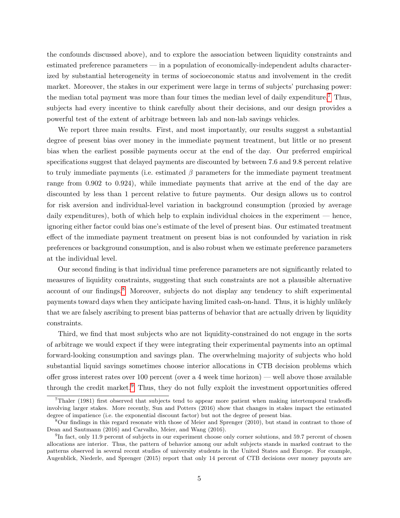the confounds discussed above), and to explore the association between liquidity constraints and estimated preference parameters — in a population of economically-independent adults characterized by substantial heterogeneity in terms of socioeconomic status and involvement in the credit market. Moreover, the stakes in our experiment were large in terms of subjects' purchasing power: the median total payment was more than four times the median level of daily expenditure.[7](#page-5-0) Thus, subjects had every incentive to think carefully about their decisions, and our design provides a powerful test of the extent of arbitrage between lab and non-lab savings vehicles.

We report three main results. First, and most importantly, our results suggest a substantial degree of present bias over money in the immediate payment treatment, but little or no present bias when the earliest possible payments occur at the end of the day. Our preferred empirical specifications suggest that delayed payments are discounted by between 7.6 and 9.8 percent relative to truly immediate payments (i.e. estimated  $\beta$  parameters for the immediate payment treatment range from 0.902 to 0.924), while immediate payments that arrive at the end of the day are discounted by less than 1 percent relative to future payments. Our design allows us to control for risk aversion and individual-level variation in background consumption (proxied by average daily expenditures), both of which help to explain individual choices in the experiment — hence, ignoring either factor could bias one's estimate of the level of present bias. Our estimated treatment effect of the immediate payment treatment on present bias is not confounded by variation in risk preferences or background consumption, and is also robust when we estimate preference parameters at the individual level.

Our second finding is that individual time preference parameters are not significantly related to measures of liquidity constraints, suggesting that such constraints are not a plausible alternative account of our findings.<sup>[8](#page-5-1)</sup> Moreover, subjects do not display any tendency to shift experimental payments toward days when they anticipate having limited cash-on-hand. Thus, it is highly unlikely that we are falsely ascribing to present bias patterns of behavior that are actually driven by liquidity constraints.

Third, we find that most subjects who are not liquidity-constrained do not engage in the sorts of arbitrage we would expect if they were integrating their experimental payments into an optimal forward-looking consumption and savings plan. The overwhelming majority of subjects who hold substantial liquid savings sometimes choose interior allocations in CTB decision problems which offer gross interest rates over 100 percent (over a 4 week time horizon) — well above those available through the credit market. $9$  Thus, they do not fully exploit the investment opportunities offered

<span id="page-5-0"></span><sup>7</sup>Thaler (1981) first observed that subjects tend to appear more patient when making intertemporal tradeoffs involving larger stakes. More recently, Sun and Potters (2016) show that changes in stakes impact the estimated degree of impatience (i.e. the exponential discount factor) but not the degree of present bias.

<span id="page-5-1"></span><sup>8</sup>Our findings in this regard resonate with those of Meier and Sprenger (2010), but stand in contrast to those of Dean and Sautmann (2016) and Carvalho, Meier, and Wang (2016).

<span id="page-5-2"></span><sup>&</sup>lt;sup>9</sup>In fact, only 11.9 percent of subjects in our experiment choose only corner solutions, and 59.7 percent of chosen allocations are interior. Thus, the pattern of behavior among our adult subjects stands in marked contrast to the patterns observed in several recent studies of university students in the United States and Europe. For example, Augenblick, Niederle, and Sprenger (2015) report that only 14 percent of CTB decisions over money payouts are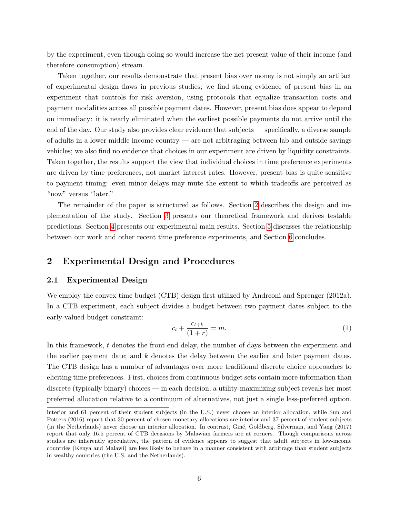by the experiment, even though doing so would increase the net present value of their income (and therefore consumption) stream.

Taken together, our results demonstrate that present bias over money is not simply an artifact of experimental design flaws in previous studies; we find strong evidence of present bias in an experiment that controls for risk aversion, using protocols that equalize transaction costs and payment modalities across all possible payment dates. However, present bias does appear to depend on immediacy: it is nearly eliminated when the earliest possible payments do not arrive until the end of the day. Our study also provides clear evidence that subjects — specifically, a diverse sample of adults in a lower middle income country — are not arbitraging between lab and outside savings vehicles; we also find no evidence that choices in our experiment are driven by liquidity constraints. Taken together, the results support the view that individual choices in time preference experiments are driven by time preferences, not market interest rates. However, present bias is quite sensitive to payment timing: even minor delays may mute the extent to which tradeoffs are perceived as "now" versus "later."

The remainder of the paper is structured as follows. Section [2](#page-6-0) describes the design and implementation of the study. Section [3](#page-11-0) presents our theoretical framework and derives testable predictions. Section [4](#page-12-0) presents our experimental main results. Section [5](#page-22-0) discusses the relationship between our work and other recent time preference experiments, and Section [6](#page-28-0) concludes.

## <span id="page-6-0"></span>2 Experimental Design and Procedures

#### 2.1 Experimental Design

We employ the convex time budget (CTB) design first utilized by Andreoni and Sprenger (2012a). In a CTB experiment, each subject divides a budget between two payment dates subject to the early-valued budget constraint:

$$
c_t + \frac{c_{t+k}}{(1+r)} = m.\t\t(1)
$$

In this framework, t denotes the front-end delay, the number of days between the experiment and the earlier payment date; and  $k$  denotes the delay between the earlier and later payment dates. The CTB design has a number of advantages over more traditional discrete choice approaches to eliciting time preferences. First, choices from continuous budget sets contain more information than discrete (typically binary) choices — in each decision, a utility-maximizing subject reveals her most preferred allocation relative to a continuum of alternatives, not just a single less-preferred option.

interior and 61 percent of their student subjects (in the U.S.) never choose an interior allocation, while Sun and Potters (2016) report that 30 percent of chosen monetary allocations are interior and 37 percent of student subjects (in the Netherlands) never choose an interior allocation. In contrast, Giné, Goldberg, Silverman, and Yang (2017) report that only 16.5 percent of CTB decisions by Malawian farmers are at corners. Though comparisons across studies are inherently speculative, the pattern of evidence appears to suggest that adult subjects in low-income countries (Kenya and Malawi) are less likely to behave in a manner consistent with arbitrage than student subjects in wealthy countries (the U.S. and the Netherlands).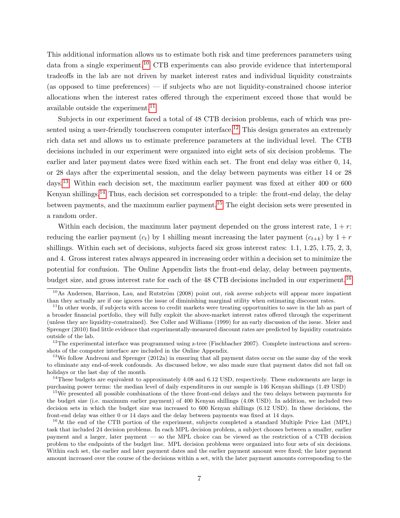This additional information allows us to estimate both risk and time preferences parameters using data from a single experiment.<sup>[10](#page-7-0)</sup> CTB experiments can also provide evidence that intertemporal tradeoffs in the lab are not driven by market interest rates and individual liquidity constraints (as opposed to time preferences) — if subjects who are not liquidity-constrained choose interior allocations when the interest rates offered through the experiment exceed those that would be available outside the experiment.<sup>[11](#page-7-1)</sup>

Subjects in our experiment faced a total of 48 CTB decision problems, each of which was pre-sented using a user-friendly touchscreen computer interface.<sup>[12](#page-7-2)</sup> This design generates an extremely rich data set and allows us to estimate preference parameters at the individual level. The CTB decisions included in our experiment were organized into eight sets of six decision problems. The earlier and later payment dates were fixed within each set. The front end delay was either 0, 14, or 28 days after the experimental session, and the delay between payments was either 14 or 28 days.[13](#page-7-3) Within each decision set, the maximum earlier payment was fixed at either 400 or 600 Kenyan shillings.<sup>[14](#page-7-4)</sup> Thus, each decision set corresponded to a triple: the front-end delay, the delay between payments, and the maximum earlier payment.<sup>[15](#page-7-5)</sup> The eight decision sets were presented in a random order.

Within each decision, the maximum later payment depended on the gross interest rate,  $1 + r$ : reducing the earlier payment  $(c_t)$  by 1 shilling meant increasing the later payment  $(c_{t+k})$  by  $1+r$ shillings. Within each set of decisions, subjects faced six gross interest rates: 1.1, 1.25, 1.75, 2, 3, and 4. Gross interest rates always appeared in increasing order within a decision set to minimize the potential for confusion. The Online Appendix lists the front-end delay, delay between payments, budget size, and gross interest rate for each of the 48 CTB decisions included in our experiment.<sup>[16](#page-7-6)</sup>

<span id="page-7-0"></span> $10$ As Andersen, Harrison, Lau, and Rutström (2008) point out, risk averse subjects will appear more impatient than they actually are if one ignores the issue of diminishing marginal utility when estimating discount rates.

<span id="page-7-1"></span> $11$ In other words, if subjects with access to credit markets were treating opportunities to save in the lab as part of a broader financial portfolio, they will fully exploit the above-market interest rates offered through the experiment (unless they are liquidity-constrained). See Coller and Williams (1999) for an early discussion of the issue. Meier and Sprenger (2010) find little evidence that experimentally-measured discount rates are predicted by liquidity constraints outside of the lab.

<span id="page-7-2"></span><sup>&</sup>lt;sup>12</sup>The experimental interface was programmed using z-tree (Fischbacher 2007). Complete instructions and screenshots of the computer interface are included in the Online Appendix.

<span id="page-7-3"></span><sup>&</sup>lt;sup>13</sup>We follow Andreoni and Sprenger (2012a) in ensuring that all payment dates occur on the same day of the week to eliminate any end-of-week confounds. As discussed below, we also made sure that payment dates did not fall on holidays or the last day of the month.

<span id="page-7-4"></span> $14$ These budgets are equivalent to approximately 4.08 and 6.12 USD, respectively. These endowments are large in purchasing power terms: the median level of daily expenditures in our sample is 146 Kenyan shillings (1.49 USD)

<span id="page-7-5"></span><sup>&</sup>lt;sup>15</sup>We presented all possible combinations of the three front-end delays and the two delays between payments for the budget size (i.e. maximum earlier payment) of 400 Kenyan shillings (4.08 USD). In addition, we included two decision sets in which the budget size was increased to 600 Kenyan shillings (6.12 USD). In these decisions, the front-end delay was either 0 or 14 days and the delay between payments was fixed at 14 days.

<span id="page-7-6"></span> $16$ At the end of the CTB portion of the experiment, subjects completed a standard Multiple Price List (MPL) task that included 24 decision problems. In each MPL decision problem, a subject chooses between a smaller, earlier payment and a larger, later payment — so the MPL choice can be viewed as the restriction of a CTB decision problem to the endpoints of the budget line. MPL decision problems were organized into four sets of six decisions. Within each set, the earlier and later payment dates and the earlier payment amount were fixed; the later payment amount increased over the course of the decisions within a set, with the later payment amounts corresponding to the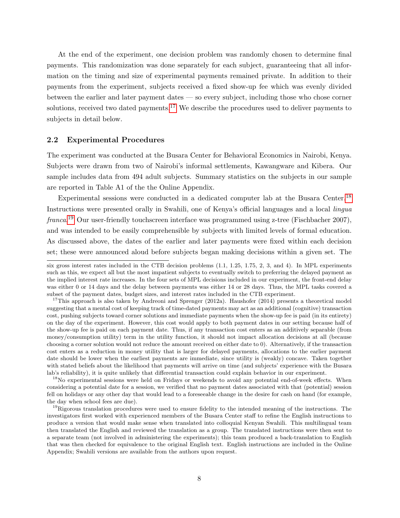At the end of the experiment, one decision problem was randomly chosen to determine final payments. This randomization was done separately for each subject, guaranteeing that all information on the timing and size of experimental payments remained private. In addition to their payments from the experiment, subjects received a fixed show-up fee which was evenly divided between the earlier and later payment dates — so every subject, including those who chose corner solutions, received two dated payments.<sup>[17](#page-8-0)</sup> We describe the procedures used to deliver payments to subjects in detail below.

#### 2.2 Experimental Procedures

The experiment was conducted at the Busara Center for Behavioral Economics in Nairobi, Kenya. Subjects were drawn from two of Nairobi's informal settlements, Kawangware and Kibera. Our sample includes data from 494 adult subjects. Summary statistics on the subjects in our sample are reported in Table A1 of the the Online Appendix.

Experimental sessions were conducted in a dedicated computer lab at the Busara Center.[18](#page-8-1) Instructions were presented orally in Swahili, one of Kenya's official languages and a local lingua franca.<sup>[19](#page-8-2)</sup> Our user-friendly touchscreen interface was programmed using z-tree (Fischbacher 2007), and was intended to be easily comprehensible by subjects with limited levels of formal education. As discussed above, the dates of the earlier and later payments were fixed within each decision set; these were announced aloud before subjects began making decisions within a given set. The

<span id="page-8-1"></span><sup>18</sup>No experimental sessions were held on Fridays or weekends to avoid any potential end-of-week effects. When considering a potential date for a session, we verified that no payment dates associated with that (potential) session fell on holidays or any other day that would lead to a foreseeable change in the desire for cash on hand (for example, the day when school fees are due).

six gross interest rates included in the CTB decision problems (1.1, 1.25, 1.75, 2, 3, and 4). In MPL experiments such as this, we expect all but the most impatient subjects to eventually switch to preferring the delayed payment as the implied interest rate increases. In the four sets of MPL decisions included in our experiment, the front-end delay was either 0 or 14 days and the delay between payments was either 14 or 28 days. Thus, the MPL tasks covered a subset of the payment dates, budget sizes, and interest rates included in the CTB experiment.

<span id="page-8-0"></span><sup>&</sup>lt;sup>17</sup>This approach is also taken by Andreoni and Sprenger  $(2012a)$ . Haushofer  $(2014)$  presents a theoretical model suggesting that a mental cost of keeping track of time-dated payments may act as an additional (cognitive) transaction cost, pushing subjects toward corner solutions and immediate payments when the show-up fee is paid (in its entirety) on the day of the experiment. However, this cost would apply to both payment dates in our setting because half of the show-up fee is paid on each payment date. Thus, if any transaction cost enters as an additively separable (from money/consumption utility) term in the utility function, it should not impact allocation decisions at all (because choosing a corner solution would not reduce the amount received on either date to 0). Alternatively, if the transaction cost enters as a reduction in money utility that is larger for delayed payments, allocations to the earlier payment date should be lower when the earliest payments are immediate, since utility is (weakly) concave. Taken together with stated beliefs about the likelihood that payments will arrive on time (and subjects' experience with the Busara lab's reliability), it is quite unlikely that differential transaction could explain behavior in our experiment.

<span id="page-8-2"></span><sup>&</sup>lt;sup>19</sup>Rigorous translation procedures were used to ensure fidelity to the intended meaning of the instructions. The investigators first worked with experienced members of the Busara Center staff to refine the English instructions to produce a version that would make sense when translated into colloquial Kenyan Swahili. This multilingual team then translated the English and reviewed the translation as a group. The translated instructions were then sent to a separate team (not involved in administering the experiments); this team produced a back-translation to English that was then checked for equivalence to the original English text. English instructions are included in the Online Appendix; Swahili versions are available from the authors upon request.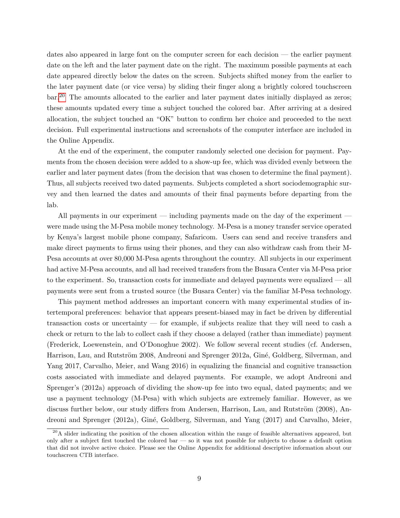dates also appeared in large font on the computer screen for each decision — the earlier payment date on the left and the later payment date on the right. The maximum possible payments at each date appeared directly below the dates on the screen. Subjects shifted money from the earlier to the later payment date (or vice versa) by sliding their finger along a brightly colored touchscreen bar.<sup>[20](#page-9-0)</sup> The amounts allocated to the earlier and later payment dates initially displayed as zeros; these amounts updated every time a subject touched the colored bar. After arriving at a desired allocation, the subject touched an "OK" button to confirm her choice and proceeded to the next decision. Full experimental instructions and screenshots of the computer interface are included in the Online Appendix.

At the end of the experiment, the computer randomly selected one decision for payment. Payments from the chosen decision were added to a show-up fee, which was divided evenly between the earlier and later payment dates (from the decision that was chosen to determine the final payment). Thus, all subjects received two dated payments. Subjects completed a short sociodemographic survey and then learned the dates and amounts of their final payments before departing from the lab.

All payments in our experiment — including payments made on the day of the experiment were made using the M-Pesa mobile money technology. M-Pesa is a money transfer service operated by Kenya's largest mobile phone company, Safaricom. Users can send and receive transfers and make direct payments to firms using their phones, and they can also withdraw cash from their M-Pesa accounts at over 80,000 M-Pesa agents throughout the country. All subjects in our experiment had active M-Pesa accounts, and all had received transfers from the Busara Center via M-Pesa prior to the experiment. So, transaction costs for immediate and delayed payments were equalized — all payments were sent from a trusted source (the Busara Center) via the familiar M-Pesa technology.

This payment method addresses an important concern with many experimental studies of intertemporal preferences: behavior that appears present-biased may in fact be driven by differential transaction costs or uncertainty — for example, if subjects realize that they will need to cash a check or return to the lab to collect cash if they choose a delayed (rather than immediate) payment (Frederick, Loewenstein, and O'Donoghue 2002). We follow several recent studies (cf. Andersen, Harrison, Lau, and Rutström 2008, Andreoni and Sprenger 2012a, Giné, Goldberg, Silverman, and Yang 2017, Carvalho, Meier, and Wang 2016) in equalizing the financial and cognitive transaction costs associated with immediate and delayed payments. For example, we adopt Andreoni and Sprenger's (2012a) approach of dividing the show-up fee into two equal, dated payments; and we use a payment technology (M-Pesa) with which subjects are extremely familiar. However, as we discuss further below, our study differs from Andersen, Harrison, Lau, and Rutström (2008), Andreoni and Sprenger (2012a), Giné, Goldberg, Silverman, and Yang (2017) and Carvalho, Meier,

<span id="page-9-0"></span> $^{20}$ A slider indicating the position of the chosen allocation within the range of feasible alternatives appeared, but only after a subject first touched the colored bar — so it was not possible for subjects to choose a default option that did not involve active choice. Please see the Online Appendix for additional descriptive information about our touchscreen CTB interface.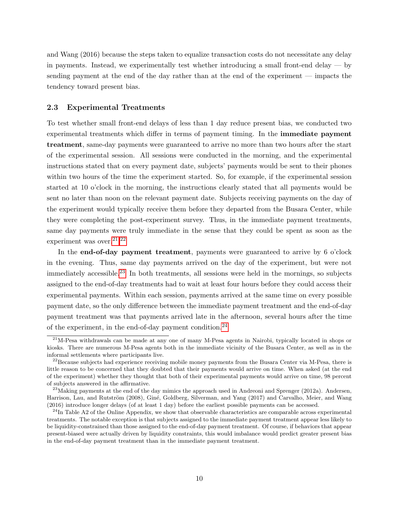and Wang (2016) because the steps taken to equalize transaction costs do not necessitate any delay in payments. Instead, we experimentally test whether introducing a small front-end delay  $-$  by sending payment at the end of the day rather than at the end of the experiment — impacts the tendency toward present bias.

#### 2.3 Experimental Treatments

To test whether small front-end delays of less than 1 day reduce present bias, we conducted two experimental treatments which differ in terms of payment timing. In the immediate payment treatment, same-day payments were guaranteed to arrive no more than two hours after the start of the experimental session. All sessions were conducted in the morning, and the experimental instructions stated that on every payment date, subjects' payments would be sent to their phones within two hours of the time the experiment started. So, for example, if the experimental session started at 10 o'clock in the morning, the instructions clearly stated that all payments would be sent no later than noon on the relevant payment date. Subjects receiving payments on the day of the experiment would typically receive them before they departed from the Busara Center, while they were completing the post-experiment survey. Thus, in the immediate payment treatments, same day payments were truly immediate in the sense that they could be spent as soon as the experiment was over. $21,22$  $21,22$  $21,22$ 

In the **end-of-day payment treatment**, payments were guaranteed to arrive by 6 o'clock in the evening. Thus, same day payments arrived on the day of the experiment, but were not immediately accessible.<sup>[23](#page-10-2)</sup> In both treatments, all sessions were held in the mornings, so subjects assigned to the end-of-day treatments had to wait at least four hours before they could access their experimental payments. Within each session, payments arrived at the same time on every possible payment date, so the only difference between the immediate payment treatment and the end-of-day payment treatment was that payments arrived late in the afternoon, several hours after the time of the experiment, in the end-of-day payment condition.<sup>[24](#page-10-3)</sup>

<span id="page-10-0"></span><sup>&</sup>lt;sup>21</sup>M-Pesa withdrawals can be made at any one of many M-Pesa agents in Nairobi, typically located in shops or kiosks. There are numerous M-Pesa agents both in the immediate vicinity of the Busara Center, as well as in the informal settlements where participants live.

<span id="page-10-1"></span><sup>&</sup>lt;sup>22</sup>Because subjects had experience receiving mobile money payments from the Busara Center via M-Pesa, there is little reason to be concerned that they doubted that their payments would arrive on time. When asked (at the end of the experiment) whether they thought that both of their experimental payments would arrive on time, 98 percent of subjects answered in the affirmative.

<span id="page-10-2"></span> $^{23}$ Making payments at the end of the day mimics the approach used in Andreoni and Sprenger (2012a). Andersen, Harrison, Lau, and Rutström (2008), Giné, Goldberg, Silverman, and Yang (2017) and Carvalho, Meier, and Wang (2016) introduce longer delays (of at least 1 day) before the earliest possible payments can be accessed.

<span id="page-10-3"></span> $^{24}$ In Table A2 of the Online Appendix, we show that observable characteristics are comparable across experimental treatments. The notable exception is that subjects assigned to the immediate payment treatment appear less likely to be liquidity-constrained than those assigned to the end-of-day payment treatment. Of course, if behaviors that appear present-biased were actually driven by liquidity constraints, this would imbalance would predict greater present bias in the end-of-day payment treatment than in the immediate payment treatment.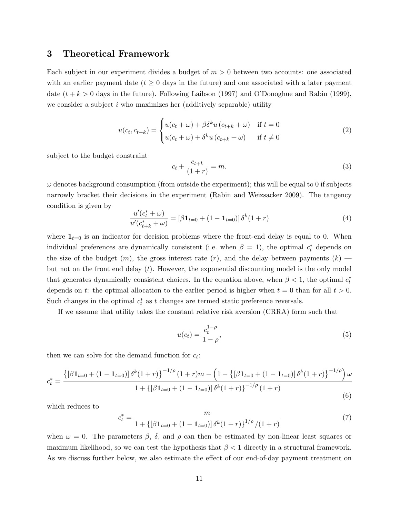## <span id="page-11-0"></span>3 Theoretical Framework

Each subject in our experiment divides a budget of  $m > 0$  between two accounts: one associated with an earlier payment date ( $t \geq 0$  days in the future) and one associated with a later payment date  $(t + k > 0$  days in the future). Following Laibson (1997) and O'Donoghue and Rabin (1999), we consider a subject  $i$  who maximizes her (additively separable) utility

$$
u(c_t, c_{t+k}) = \begin{cases} u(c_t + \omega) + \beta \delta^k u(c_{t+k} + \omega) & \text{if } t = 0\\ u(c_t + \omega) + \delta^k u(c_{t+k} + \omega) & \text{if } t \neq 0 \end{cases}
$$
 (2)

subject to the budget constraint

$$
c_t + \frac{c_{t+k}}{(1+r)} = m.
$$
\n
$$
(3)
$$

 $\omega$  denotes background consumption (from outside the experiment); this will be equal to 0 if subjects narrowly bracket their decisions in the experiment (Rabin and Weizsacker 2009). The tangency condition is given by

$$
\frac{u'(c_t^* + \omega)}{u'(c_{t+k}^* + \omega)} = [\beta \mathbf{1}_{t=0} + (1 - \mathbf{1}_{t=0})] \delta^k (1+r)
$$
\n(4)

where  $\mathbf{1}_{t=0}$  is an indicator for decision problems where the front-end delay is equal to 0. When individual preferences are dynamically consistent (i.e. when  $\beta = 1$ ), the optimal  $c_t^*$  depends on the size of the budget  $(m)$ , the gross interest rate  $(r)$ , and the delay between payments  $(k)$ but not on the front end delay  $(t)$ . However, the exponential discounting model is the only model that generates dynamically consistent choices. In the equation above, when  $\beta < 1$ , the optimal  $c_t^*$ depends on t: the optimal allocation to the earlier period is higher when  $t = 0$  than for all  $t > 0$ . Such changes in the optimal  $c_t^*$  as t changes are termed static preference reversals.

If we assume that utility takes the constant relative risk aversion (CRRA) form such that

$$
u(c_t) = \frac{c_t^{1-\rho}}{1-\rho},
$$
\n(5)

then we can solve for the demand function for  $c_t$ :

$$
c_{t}^{*} = \frac{\left\{ \left[\beta \mathbf{1}_{t=0} + (1 - \mathbf{1}_{t=0})\right] \delta^{k} (1+r) \right\}^{-1/\rho} (1+r)m - \left(1 - \left\{ \left[\beta \mathbf{1}_{t=0} + (1 - \mathbf{1}_{t=0})\right] \delta^{k} (1+r) \right\}^{-1/\rho} \right) \omega}{1 + \left\{ \left[\beta \mathbf{1}_{t=0} + (1 - \mathbf{1}_{t=0})\right] \delta^{k} (1+r) \right\}^{-1/\rho} (1+r)}
$$
(6)

which reduces to

$$
c_t^* = \frac{m}{1 + \{[\beta \mathbf{1}_{t=0} + (1 - \mathbf{1}_{t=0})] \delta^k (1+r)\}^{1/\rho} / (1+r)}
$$
(7)

when  $\omega = 0$ . The parameters  $\beta$ ,  $\delta$ , and  $\rho$  can then be estimated by non-linear least squares or maximum likelihood, so we can test the hypothesis that  $\beta < 1$  directly in a structural framework. As we discuss further below, we also estimate the effect of our end-of-day payment treatment on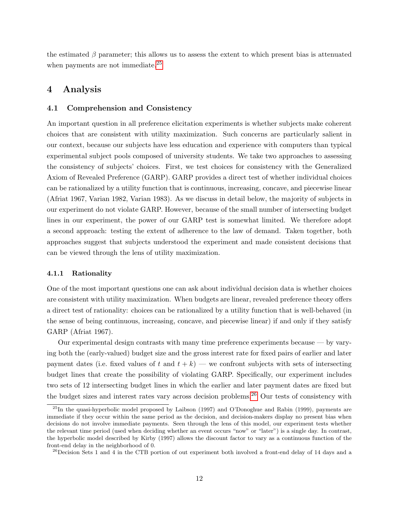the estimated  $\beta$  parameter; this allows us to assess the extent to which present bias is attenuated when payments are not immediate.<sup>[25](#page-12-1)</sup>

## <span id="page-12-0"></span>4 Analysis

#### 4.1 Comprehension and Consistency

An important question in all preference elicitation experiments is whether subjects make coherent choices that are consistent with utility maximization. Such concerns are particularly salient in our context, because our subjects have less education and experience with computers than typical experimental subject pools composed of university students. We take two approaches to assessing the consistency of subjects' choices. First, we test choices for consistency with the Generalized Axiom of Revealed Preference (GARP). GARP provides a direct test of whether individual choices can be rationalized by a utility function that is continuous, increasing, concave, and piecewise linear (Afriat 1967, Varian 1982, Varian 1983). As we discuss in detail below, the majority of subjects in our experiment do not violate GARP. However, because of the small number of intersecting budget lines in our experiment, the power of our GARP test is somewhat limited. We therefore adopt a second approach: testing the extent of adherence to the law of demand. Taken together, both approaches suggest that subjects understood the experiment and made consistent decisions that can be viewed through the lens of utility maximization.

#### 4.1.1 Rationality

One of the most important questions one can ask about individual decision data is whether choices are consistent with utility maximization. When budgets are linear, revealed preference theory offers a direct test of rationality: choices can be rationalized by a utility function that is well-behaved (in the sense of being continuous, increasing, concave, and piecewise linear) if and only if they satisfy GARP (Afriat 1967).

Our experimental design contrasts with many time preference experiments because — by varying both the (early-valued) budget size and the gross interest rate for fixed pairs of earlier and later payment dates (i.e. fixed values of t and  $t + k$ ) — we confront subjects with sets of intersecting budget lines that create the possibility of violating GARP. Specifically, our experiment includes two sets of 12 intersecting budget lines in which the earlier and later payment dates are fixed but the budget sizes and interest rates vary across decision problems.<sup>[26](#page-12-2)</sup> Our tests of consistency with

<span id="page-12-1"></span><sup>&</sup>lt;sup>25</sup>In the quasi-hyperbolic model proposed by Laibson (1997) and O'Donoghue and Rabin (1999), payments are immediate if they occur within the same period as the decision, and decision-makers display no present bias when decisions do not involve immediate payments. Seen through the lens of this model, our experiment tests whether the relevant time period (used when deciding whether an event occurs "now" or "later") is a single day. In contrast, the hyperbolic model described by Kirby (1997) allows the discount factor to vary as a continuous function of the front-end delay in the neighborhood of 0.

<span id="page-12-2"></span> $^{26}$ Decision Sets 1 and 4 in the CTB portion of out experiment both involved a front-end delay of 14 days and a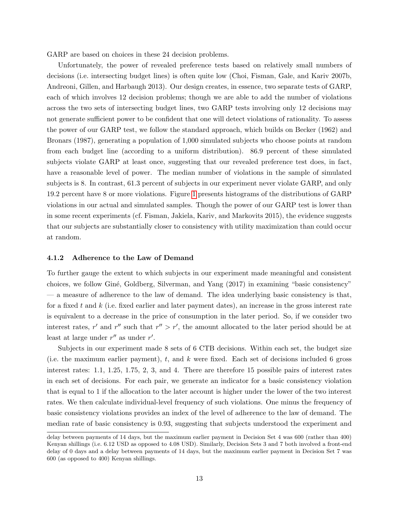GARP are based on choices in these 24 decision problems.

Unfortunately, the power of revealed preference tests based on relatively small numbers of decisions (i.e. intersecting budget lines) is often quite low (Choi, Fisman, Gale, and Kariv 2007b, Andreoni, Gillen, and Harbaugh 2013). Our design creates, in essence, two separate tests of GARP, each of which involves 12 decision problems; though we are able to add the number of violations across the two sets of intersecting budget lines, two GARP tests involving only 12 decisions may not generate sufficient power to be confident that one will detect violations of rationality. To assess the power of our GARP test, we follow the standard approach, which builds on Becker (1962) and Bronars (1987), generating a population of 1,000 simulated subjects who choose points at random from each budget line (according to a uniform distribution). 86.9 percent of these simulated subjects violate GARP at least once, suggesting that our revealed preference test does, in fact, have a reasonable level of power. The median number of violations in the sample of simulated subjects is 8. In contrast, 61.3 percent of subjects in our experiment never violate GARP, and only 19.2 percent have 8 or more violations. Figure [1](#page-41-0) presents histograms of the distributions of GARP violations in our actual and simulated samples. Though the power of our GARP test is lower than in some recent experiments (cf. Fisman, Jakiela, Kariv, and Markovits 2015), the evidence suggests that our subjects are substantially closer to consistency with utility maximization than could occur at random.

#### 4.1.2 Adherence to the Law of Demand

To further gauge the extent to which subjects in our experiment made meaningful and consistent choices, we follow Gin´e, Goldberg, Silverman, and Yang (2017) in examining "basic consistency" — a measure of adherence to the law of demand. The idea underlying basic consistency is that, for a fixed t and  $k$  (i.e. fixed earlier and later payment dates), an increase in the gross interest rate is equivalent to a decrease in the price of consumption in the later period. So, if we consider two interest rates, r' and r'' such that  $r'' > r'$ , the amount allocated to the later period should be at least at large under  $r''$  as under  $r'$ .

Subjects in our experiment made 8 sets of 6 CTB decisions. Within each set, the budget size (i.e. the maximum earlier payment),  $t$ , and  $k$  were fixed. Each set of decisions included 6 gross interest rates: 1.1, 1.25, 1.75, 2, 3, and 4. There are therefore 15 possible pairs of interest rates in each set of decisions. For each pair, we generate an indicator for a basic consistency violation that is equal to 1 if the allocation to the later account is higher under the lower of the two interest rates. We then calculate individual-level frequency of such violations. One minus the frequency of basic consistency violations provides an index of the level of adherence to the law of demand. The median rate of basic consistency is 0.93, suggesting that subjects understood the experiment and

delay between payments of 14 days, but the maximum earlier payment in Decision Set 4 was 600 (rather than 400) Kenyan shillings (i.e. 6.12 USD as opposed to 4.08 USD). Similarly, Decision Sets 3 and 7 both involved a front-end delay of 0 days and a delay between payments of 14 days, but the maximum earlier payment in Decision Set 7 was 600 (as opposed to 400) Kenyan shillings.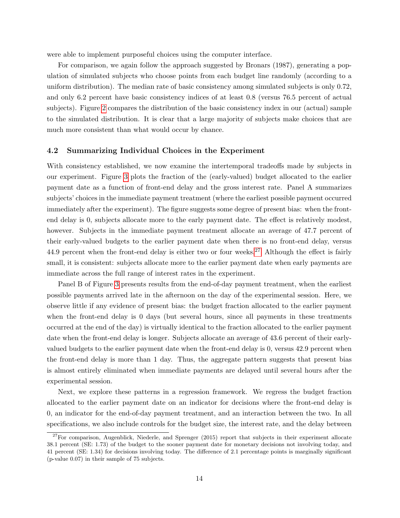were able to implement purposeful choices using the computer interface.

For comparison, we again follow the approach suggested by Bronars (1987), generating a population of simulated subjects who choose points from each budget line randomly (according to a uniform distribution). The median rate of basic consistency among simulated subjects is only 0.72, and only 6.2 percent have basic consistency indices of at least 0.8 (versus 76.5 percent of actual subjects). Figure [2](#page-42-0) compares the distribution of the basic consistency index in our (actual) sample to the simulated distribution. It is clear that a large majority of subjects make choices that are much more consistent than what would occur by chance.

#### 4.2 Summarizing Individual Choices in the Experiment

With consistency established, we now examine the intertemporal tradeoffs made by subjects in our experiment. Figure [3](#page-43-0) plots the fraction of the (early-valued) budget allocated to the earlier payment date as a function of front-end delay and the gross interest rate. Panel A summarizes subjects' choices in the immediate payment treatment (where the earliest possible payment occurred immediately after the experiment). The figure suggests some degree of present bias: when the frontend delay is 0, subjects allocate more to the early payment date. The effect is relatively modest, however. Subjects in the immediate payment treatment allocate an average of 47.7 percent of their early-valued budgets to the earlier payment date when there is no front-end delay, versus 44.9 percent when the front-end delay is either two or four weeks.<sup>[27](#page-14-0)</sup> Although the effect is fairly small, it is consistent: subjects allocate more to the earlier payment date when early payments are immediate across the full range of interest rates in the experiment.

Panel B of Figure [3](#page-43-0) presents results from the end-of-day payment treatment, when the earliest possible payments arrived late in the afternoon on the day of the experimental session. Here, we observe little if any evidence of present bias: the budget fraction allocated to the earlier payment when the front-end delay is 0 days (but several hours, since all payments in these treatments occurred at the end of the day) is virtually identical to the fraction allocated to the earlier payment date when the front-end delay is longer. Subjects allocate an average of 43.6 percent of their earlyvalued budgets to the earlier payment date when the front-end delay is 0, versus 42.9 percent when the front-end delay is more than 1 day. Thus, the aggregate pattern suggests that present bias is almost entirely eliminated when immediate payments are delayed until several hours after the experimental session.

Next, we explore these patterns in a regression framework. We regress the budget fraction allocated to the earlier payment date on an indicator for decisions where the front-end delay is 0, an indicator for the end-of-day payment treatment, and an interaction between the two. In all specifications, we also include controls for the budget size, the interest rate, and the delay between

<span id="page-14-0"></span><sup>&</sup>lt;sup>27</sup>For comparison, Augenblick, Niederle, and Sprenger (2015) report that subjects in their experiment allocate 38.1 percent (SE: 1.73) of the budget to the sooner payment date for monetary decisions not involving today, and 41 percent (SE: 1.34) for decisions involving today. The difference of 2.1 percentage points is marginally significant (p-value 0.07) in their sample of 75 subjects.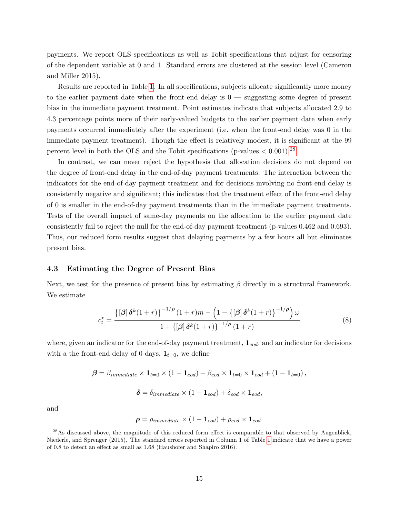payments. We report OLS specifications as well as Tobit specifications that adjust for censoring of the dependent variable at 0 and 1. Standard errors are clustered at the session level (Cameron and Miller 2015).

Results are reported in Table [1.](#page-33-0) In all specifications, subjects allocate significantly more money to the earlier payment date when the front-end delay is  $0$  — suggesting some degree of present bias in the immediate payment treatment. Point estimates indicate that subjects allocated 2.9 to 4.3 percentage points more of their early-valued budgets to the earlier payment date when early payments occurred immediately after the experiment (i.e. when the front-end delay was 0 in the immediate payment treatment). Though the effect is relatively modest, it is significant at the 99 percent level in both the OLS and the Tobit specifications (p-values  $< 0.001$ ).<sup>[28](#page-15-0)</sup>

In contrast, we can never reject the hypothesis that allocation decisions do not depend on the degree of front-end delay in the end-of-day payment treatments. The interaction between the indicators for the end-of-day payment treatment and for decisions involving no front-end delay is consistently negative and significant; this indicates that the treatment effect of the front-end delay of 0 is smaller in the end-of-day payment treatments than in the immediate payment treatments. Tests of the overall impact of same-day payments on the allocation to the earlier payment date consistently fail to reject the null for the end-of-day payment treatment (p-values 0.462 and 0.693). Thus, our reduced form results suggest that delaying payments by a few hours all but eliminates present bias.

#### 4.3 Estimating the Degree of Present Bias

Next, we test for the presence of present bias by estimating  $\beta$  directly in a structural framework. We estimate

<span id="page-15-1"></span>
$$
c_{t}^{*} = \frac{\left\{ \left[\beta\right] \delta^{k} (1+r) \right\}^{-1/\rho} (1+r)m - \left(1 - \left\{ \left[\beta\right] \delta^{k} (1+r) \right\}^{-1/\rho} \right) \omega}{1 + \left\{ \left[\beta\right] \delta^{k} (1+r) \right\}^{-1/\rho} (1+r)} \tag{8}
$$

where, given an indicator for the end-of-day payment treatment,  $\mathbf{1}_{eod}$ , and an indicator for decisions with a the front-end delay of 0 days,  $\mathbf{1}_{t=0}$ , we define

$$
\beta = \beta_{immediate} \times \mathbf{1}_{t=0} \times (1 - \mathbf{1}_{eod}) + \beta_{eod} \times \mathbf{1}_{t=0} \times \mathbf{1}_{eod} + (1 - \mathbf{1}_{t=0}),
$$
  

$$
\delta = \delta_{immediate} \times (1 - \mathbf{1}_{eod}) + \delta_{eod} \times \mathbf{1}_{eod},
$$

and

$$
\boldsymbol{\rho} = \rho_{immediate} \times (1 - \mathbf{1}_{eod}) + \rho_{eod} \times \mathbf{1}_{eod}.
$$

<span id="page-15-0"></span> $^{28}$ As discussed above, the magnitude of this reduced form effect is comparable to that observed by Augenblick, Niederle, and Sprenger (2015). The standard errors reported in Column 1 of Table [1](#page-33-0) indicate that we have a power of 0.8 to detect an effect as small as 1.68 (Haushofer and Shapiro 2016).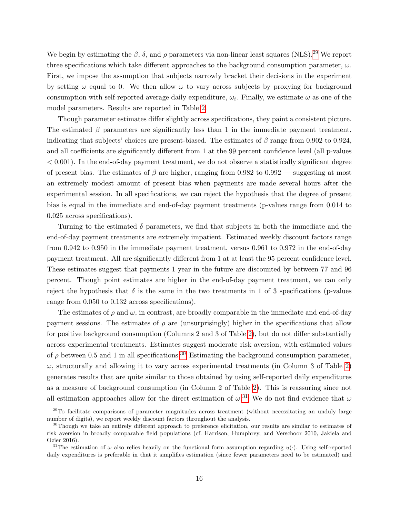We begin by estimating the  $\beta$ ,  $\delta$ , and  $\rho$  parameters via non-linear least squares (NLS).<sup>[29](#page-16-0)</sup> We report three specifications which take different approaches to the background consumption parameter,  $\omega$ . First, we impose the assumption that subjects narrowly bracket their decisions in the experiment by setting  $\omega$  equal to 0. We then allow  $\omega$  to vary across subjects by proxying for background consumption with self-reported average daily expenditure,  $\omega_i$ . Finally, we estimate  $\omega$  as one of the model parameters. Results are reported in Table [2.](#page-34-0)

Though parameter estimates differ slightly across specifications, they paint a consistent picture. The estimated  $\beta$  parameters are significantly less than 1 in the immediate payment treatment, indicating that subjects' choices are present-biased. The estimates of  $\beta$  range from 0.902 to 0.924, and all coefficients are significantly different from 1 at the 99 percent confidence level (all p-values  $< 0.001$ ). In the end-of-day payment treatment, we do not observe a statistically significant degree of present bias. The estimates of  $\beta$  are higher, ranging from 0.982 to 0.992 — suggesting at most an extremely modest amount of present bias when payments are made several hours after the experimental session. In all specifications, we can reject the hypothesis that the degree of present bias is equal in the immediate and end-of-day payment treatments (p-values range from 0.014 to 0.025 across specifications).

Turning to the estimated  $\delta$  parameters, we find that subjects in both the immediate and the end-of-day payment treatments are extremely impatient. Estimated weekly discount factors range from 0.942 to 0.950 in the immediate payment treatment, versus 0.961 to 0.972 in the end-of-day payment treatment. All are significantly different from 1 at at least the 95 percent confidence level. These estimates suggest that payments 1 year in the future are discounted by between 77 and 96 percent. Though point estimates are higher in the end-of-day payment treatment, we can only reject the hypothesis that  $\delta$  is the same in the two treatments in 1 of 3 specifications (p-values range from 0.050 to 0.132 across specifications).

The estimates of  $\rho$  and  $\omega$ , in contrast, are broadly comparable in the immediate and end-of-day payment sessions. The estimates of  $\rho$  are (unsurprisingly) higher in the specifications that allow for positive background consumption (Columns 2 and 3 of Table [2\)](#page-34-0), but do not differ substantially across experimental treatments. Estimates suggest moderate risk aversion, with estimated values of  $\rho$  between 0.5 and 1 in all specifications.<sup>[30](#page-16-1)</sup> Estimating the background consumption parameter,  $\omega$ , structurally and allowing it to vary across experimental treatments (in Column 3 of Table [2\)](#page-34-0) generates results that are quite similar to those obtained by using self-reported daily expenditures as a measure of background consumption (in Column 2 of Table [2\)](#page-34-0). This is reassuring since not all estimation approaches allow for the direct estimation of  $\omega$ .<sup>[31](#page-16-2)</sup> We do not find evidence that  $\omega$ 

<span id="page-16-0"></span> $^{29}$ To facilitate comparisons of parameter magnitudes across treatment (without necessitating an unduly large number of digits), we report weekly discount factors throughout the analysis.

<span id="page-16-1"></span><sup>&</sup>lt;sup>30</sup>Though we take an entirely different approach to preference elicitation, our results are similar to estimates of risk aversion in broadly comparable field populations (cf. Harrison, Humphrey, and Verschoor 2010, Jakiela and Ozier 2016).

<span id="page-16-2"></span><sup>&</sup>lt;sup>31</sup>The estimation of  $\omega$  also relies heavily on the functional form assumption regarding  $u(\cdot)$ . Using self-reported daily expenditures is preferable in that it simplifies estimation (since fewer parameters need to be estimated) and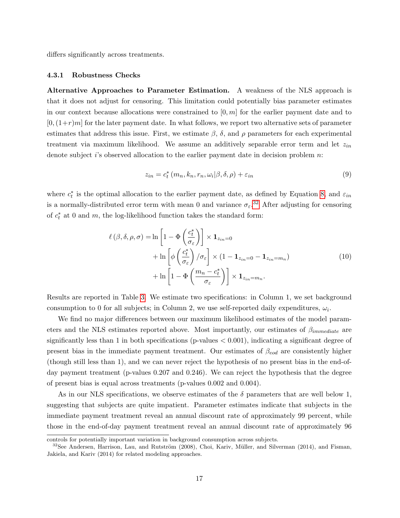differs significantly across treatments.

#### 4.3.1 Robustness Checks

Alternative Approaches to Parameter Estimation. A weakness of the NLS approach is that it does not adjust for censoring. This limitation could potentially bias parameter estimates in our context because allocations were constrained to  $[0, m]$  for the earlier payment date and to  $[0,(1+r)m]$  for the later payment date. In what follows, we report two alternative sets of parameter estimates that address this issue. First, we estimate  $\beta$ ,  $\delta$ , and  $\rho$  parameters for each experimental treatment via maximum likelihood. We assume an additively separable error term and let  $z_{in}$ denote subject i's observed allocation to the earlier payment date in decision problem  $n$ :

$$
z_{in} = c_t^* (m_n, k_n, r_n, \omega_i | \beta, \delta, \rho) + \varepsilon_{in}
$$
\n
$$
(9)
$$

where  $c_t^*$  is the optimal allocation to the earlier payment date, as defined by Equation [8,](#page-15-1) and  $\varepsilon_{in}$ is a normally-distributed error term with mean 0 and variance  $\sigma_{\varepsilon}$ .<sup>[32](#page-17-0)</sup> After adjusting for censoring of  $c_t^*$  at 0 and  $m$ , the log-likelihood function takes the standard form:

$$
\ell(\beta, \delta, \rho, \sigma) = \ln \left[ 1 - \Phi \left( \frac{c_t^*}{\sigma_{\varepsilon}} \right) \right] \times \mathbf{1}_{z_{in} = 0}
$$
  
+ 
$$
\ln \left[ \phi \left( \frac{c_t^*}{\sigma_{\varepsilon}} \right) / \sigma_{\varepsilon} \right] \times (1 - \mathbf{1}_{z_{in} = 0} - \mathbf{1}_{z_{in} = m_n})
$$
  
+ 
$$
\ln \left[ 1 - \Phi \left( \frac{m_n - c_t^*}{\sigma_{\varepsilon}} \right) \right] \times \mathbf{1}_{z_{in} = m_n}.
$$
 (10)

Results are reported in Table [3.](#page-35-0) We estimate two specifications: in Column 1, we set background consumption to 0 for all subjects; in Column 2, we use self-reported daily expenditures,  $\omega_i$ .

We find no major differences between our maximum likelihood estimates of the model parameters and the NLS estimates reported above. Most importantly, our estimates of  $\beta_{immediate}$  are significantly less than 1 in both specifications (p-values  $< 0.001$ ), indicating a significant degree of present bias in the immediate payment treatment. Our estimates of  $\beta_{eod}$  are consistently higher (though still less than 1), and we can never reject the hypothesis of no present bias in the end-ofday payment treatment (p-values 0.207 and 0.246). We can reject the hypothesis that the degree of present bias is equal across treatments (p-values 0.002 and 0.004).

As in our NLS specifications, we observe estimates of the  $\delta$  parameters that are well below 1, suggesting that subjects are quite impatient. Parameter estimates indicate that subjects in the immediate payment treatment reveal an annual discount rate of approximately 99 percent, while those in the end-of-day payment treatment reveal an annual discount rate of approximately 96

controls for potentially important variation in background consumption across subjects.

<span id="page-17-0"></span> $32$ See Andersen, Harrison, Lau, and Rutström (2008), Choi, Kariv, Müller, and Silverman (2014), and Fisman, Jakiela, and Kariv (2014) for related modeling approaches.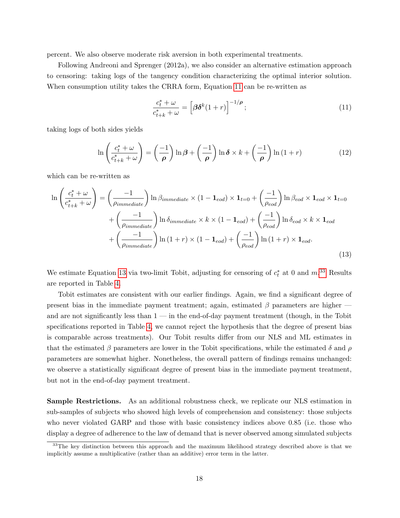percent. We also observe moderate risk aversion in both experimental treatments.

Following Andreoni and Sprenger (2012a), we also consider an alternative estimation approach to censoring: taking logs of the tangency condition characterizing the optimal interior solution. When consumption utility takes the CRRA form, Equation [11](#page-18-0) can be re-written as

<span id="page-18-0"></span>
$$
\frac{c_t^* + \omega}{c_{t+k}^* + \omega} = \left[\beta \delta^k (1+r)\right]^{-1/\rho};\tag{11}
$$

taking logs of both sides yields

$$
\ln\left(\frac{c_t^* + \omega}{c_{t+k}^* + \omega}\right) = \left(\frac{-1}{\rho}\right)\ln\beta + \left(\frac{-1}{\rho}\right)\ln\delta \times k + \left(\frac{-1}{\rho}\right)\ln\left(1+r\right) \tag{12}
$$

which can be re-written as

<span id="page-18-1"></span>
$$
\ln\left(\frac{c_t^* + \omega}{c_{t+k}^* + \omega}\right) = \left(\frac{-1}{\rho_{immediate}}\right) \ln \beta_{immediate} \times (1 - \mathbf{1}_{eod}) \times \mathbf{1}_{t=0} + \left(\frac{-1}{\rho_{eod}}\right) \ln \beta_{eod} \times \mathbf{1}_{eod} \times \mathbf{1}_{t=0}
$$

$$
+ \left(\frac{-1}{\rho_{immediate}}\right) \ln \delta_{immediate} \times k \times (1 - \mathbf{1}_{eod}) + \left(\frac{-1}{\rho_{eod}}\right) \ln \delta_{eod} \times k \times \mathbf{1}_{eod}
$$

$$
+ \left(\frac{-1}{\rho_{immediate}}\right) \ln (1 + r) \times (1 - \mathbf{1}_{eod}) + \left(\frac{-1}{\rho_{eod}}\right) \ln (1 + r) \times \mathbf{1}_{eod}.
$$
(13)

We estimate Equation [13](#page-18-1) via two-limit Tobit, adjusting for censoring of  $c_t^*$  at 0 and  $m^{33}$  $m^{33}$  $m^{33}$  Results are reported in Table [4.](#page-36-0)

Tobit estimates are consistent with our earlier findings. Again, we find a significant degree of present bias in the immediate payment treatment; again, estimated  $\beta$  parameters are higher and are not significantly less than 1 — in the end-of-day payment treatment (though, in the Tobit specifications reported in Table [4,](#page-36-0) we cannot reject the hypothesis that the degree of present bias is comparable across treatments). Our Tobit results differ from our NLS and ML estimates in that the estimated β parameters are lower in the Tobit specifications, while the estimated δ and  $\rho$ parameters are somewhat higher. Nonetheless, the overall pattern of findings remains unchanged: we observe a statistically significant degree of present bias in the immediate payment treatment, but not in the end-of-day payment treatment.

Sample Restrictions. As an additional robustness check, we replicate our NLS estimation in sub-samples of subjects who showed high levels of comprehension and consistency: those subjects who never violated GARP and those with basic consistency indices above 0.85 (i.e. those who display a degree of adherence to the law of demand that is never observed among simulated subjects

<span id="page-18-2"></span><sup>&</sup>lt;sup>33</sup>The key distinction between this approach and the maximum likelihood strategy described above is that we implicitly assume a multiplicative (rather than an additive) error term in the latter.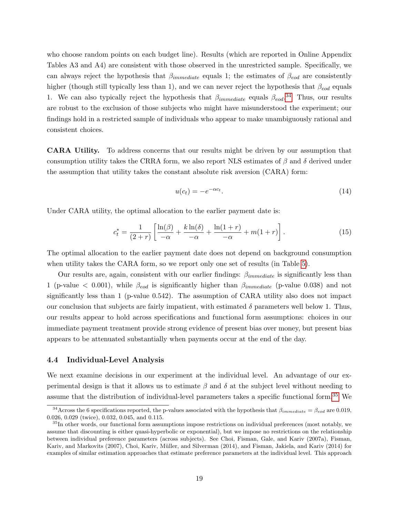who choose random points on each budget line). Results (which are reported in Online Appendix Tables A3 and A4) are consistent with those observed in the unrestricted sample. Specifically, we can always reject the hypothesis that  $\beta_{immediate}$  equals 1; the estimates of  $\beta_{eod}$  are consistently higher (though still typically less than 1), and we can never reject the hypothesis that  $\beta_{eod}$  equals 1. We can also typically reject the hypothesis that  $\beta_{immediate}$  equals  $\beta_{eod}$ <sup>[34](#page-19-0)</sup> Thus, our results are robust to the exclusion of those subjects who might have misunderstood the experiment; our findings hold in a restricted sample of individuals who appear to make unambiguously rational and consistent choices.

CARA Utility. To address concerns that our results might be driven by our assumption that consumption utility takes the CRRA form, we also report NLS estimates of  $\beta$  and  $\delta$  derived under the assumption that utility takes the constant absolute risk aversion (CARA) form:

$$
u(c_t) = -e^{-\alpha c_t}.\tag{14}
$$

Under CARA utility, the optimal allocation to the earlier payment date is:

$$
c_t^* = \frac{1}{(2+r)} \left[ \frac{\ln(\beta)}{-\alpha} + \frac{k \ln(\delta)}{-\alpha} + \frac{\ln(1+r)}{-\alpha} + m(1+r) \right].
$$
 (15)

The optimal allocation to the earlier payment date does not depend on background consumption when utility takes the CARA form, so we report only one set of results (in Table [5\)](#page-37-0).

Our results are, again, consistent with our earlier findings:  $\beta_{immediate}$  is significantly less than 1 (p-value  $\langle 0.001 \rangle$ , while  $\beta_{eod}$  is significantly higher than  $\beta_{immediate}$  (p-value 0.038) and not significantly less than 1 (p-value 0.542). The assumption of CARA utility also does not impact our conclusion that subjects are fairly impatient, with estimated  $\delta$  parameters well below 1. Thus, our results appear to hold across specifications and functional form assumptions: choices in our immediate payment treatment provide strong evidence of present bias over money, but present bias appears to be attenuated substantially when payments occur at the end of the day.

### 4.4 Individual-Level Analysis

We next examine decisions in our experiment at the individual level. An advantage of our experimental design is that it allows us to estimate  $\beta$  and  $\delta$  at the subject level without needing to assume that the distribution of individual-level parameters takes a specific functional form.<sup>[35](#page-19-1)</sup> We

<span id="page-19-0"></span><sup>&</sup>lt;sup>34</sup>Across the 6 specifications reported, the p-values associated with the hypothesis that  $\beta_{immediate} = \beta_{eod}$  are 0.019, 0.026, 0.029 (twice), 0.032, 0.045, and 0.115.

<span id="page-19-1"></span> $35$ In other words, our functional form assumptions impose restrictions on individual preferences (most notably, we assume that discounting is either quasi-hyperbolic or exponential), but we impose no restrictions on the relationship between individual preference parameters (across subjects). See Choi, Fisman, Gale, and Kariv (2007a), Fisman, Kariv, and Markovits (2007), Choi, Kariv, M¨uller, and Silverman (2014), and Fisman, Jakiela, and Kariv (2014) for examples of similar estimation approaches that estimate preference parameters at the individual level. This approach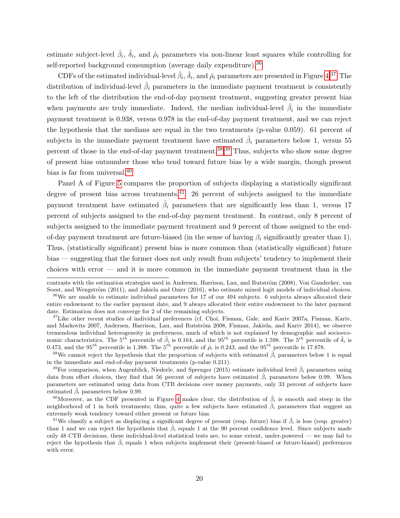estimate subject-level  $\hat{\beta}_i$ ,  $\hat{\delta}_i$ , and  $\hat{\rho}_i$  parameters via non-linear least squares while controlling for self-reported background consumption (average daily expenditure).<sup>[36](#page-20-0)</sup>

CDFs of the estimated individual-level  $\hat{\beta}_i$ ,  $\hat{\delta}_i$ , and  $\hat{\rho}_i$  parameters are presented in Figure [4.](#page-44-0)<sup>[37](#page-20-1)</sup> The distribution of individual-level  $\hat{\beta}_i$  parameters in the immediate payment treatment is consistently to the left of the distribution the end-of-day payment treatment, suggesting greater present bias when payments are truly immediate. Indeed, the median individual-level  $\hat{\beta}_i$  in the immediate payment treatment is 0.938, versus 0.978 in the end-of-day payment treatment, and we can reject the hypothesis that the medians are equal in the two treatments (p-value 0.059). 61 percent of subjects in the immediate payment treatment have estimated  $\hat{\beta}_i$  parameters below 1, versus 55 percent of those in the end-of-day payment treatment.<sup>[38](#page-20-2),[39](#page-20-3)</sup> Thus, subjects who show some degree of present bias outnumber those who tend toward future bias by a wide margin, though present bias is far from universal.[40](#page-20-4)

Panel A of Figure [5](#page-45-0) compares the proportion of subjects displaying a statistically significant degree of present bias across treatments.<sup>[41](#page-20-5)</sup> 26 percent of subjects assigned to the immediate payment treatment have estimated  $\hat{\beta}_i$  parameters that are significantly less than 1, versus 17 percent of subjects assigned to the end-of-day payment treatment. In contrast, only 8 percent of subjects assigned to the immediate payment treatment and 9 percent of those assigned to the endof-day payment treatment are future-biased (in the sense of having  $\beta_i$  significantly greater than 1). Thus, (statistically significant) present bias is more common than (statistically significant) future bias — suggesting that the former does not only result from subjects' tendency to implement their choices with error — and it is more common in the immediate payment treatment than in the

contrasts with the estimation strategies used in Andersen, Harrison, Lau, and Rutström (2008), Von Gaudecker, van Soest, and Wengström (2011), and Jakiela and Ozier (2016), who estimate mixed logit models of individual choices.

<span id="page-20-0"></span><sup>&</sup>lt;sup>36</sup>We are unable to estimate individual parameters for 17 of our 494 subjects. 6 subjects always allocated their entire endowment to the earlier payment date, and 9 always allocated their entire endowment to the later payment date. Estimation does not converge for 2 of the remaining subjects.

<span id="page-20-1"></span> $37$ Like other recent studies of individual preferences (cf. Choi, Fisman, Gale, and Kariv 2007a, Fisman, Kariv, and Markovits 2007, Andersen, Harrison, Lau, and Rutström 2008, Fisman, Jakiela, and Kariv 2014), we observe tremendous individual heterogeneity in preferences, much of which is not explained by demographic and socioeconomic characteristics. The  $5^{t\bar{h}}$  percentile of  $\hat{\beta}_i$  is 0.164, and the 95<sup>th</sup> percentile is 1.598. The  $5^{th}$  percentile of  $\hat{\delta}_i$  is 0.473, and the 95<sup>th</sup> percentile is 1.388. The 5<sup>th</sup> percentile of  $\hat{\rho}_i$  is 0.243, and the 95<sup>th</sup> percentile is 17.878.

<span id="page-20-2"></span><sup>&</sup>lt;sup>38</sup>We cannot reject the hypothesis that the proportion of subjects with estimated  $\hat{\beta}_i$  parameters below 1 is equal in the immediate and end-of-day payment treatments (p-value 0.211).

<span id="page-20-3"></span><sup>&</sup>lt;sup>39</sup>For comparison, when Augenblick, Niederle, and Sprenger (2015) estimate individual level  $\hat{\beta}_i$  parameters using data from effort choices, they find that 56 percent of subjects have estimated  $\hat{\beta}_i$  parameters below 0.99. When parameters are estimated using data from CTB decisions over money payments, only 33 percent of subjects have estimated  $\beta_i$  parameters below 0.99.

<span id="page-20-4"></span><sup>&</sup>lt;sup>40</sup>Moreover, as the CDF presented in Figure [4](#page-44-0) makes clear, the distribution of  $\hat{\beta}_i$  is smooth and steep in the neighborhood of 1 in both treatments; thus, quite a few subjects have estimated  $\hat{\beta}_i$  parameters that suggest an extremely weak tendency toward either present or future bias.

<span id="page-20-5"></span><sup>&</sup>lt;sup>41</sup>We classify a subject as displaying a significant degree of present (resp. future) bias if  $\hat{\beta}_i$  is less (resp. greater) than 1 and we can reject the hypothesis that  $\hat{\beta}_i$  equals 1 at the 90 percent confidence level. Since subjects made only 48 CTB decisions, these individual-level statistical tests are, to some extent, under-powered — we may fail to reject the hypothesis that  $\beta_i$  equals 1 when subjects implement their (present-biased or future-biased) preferences with error.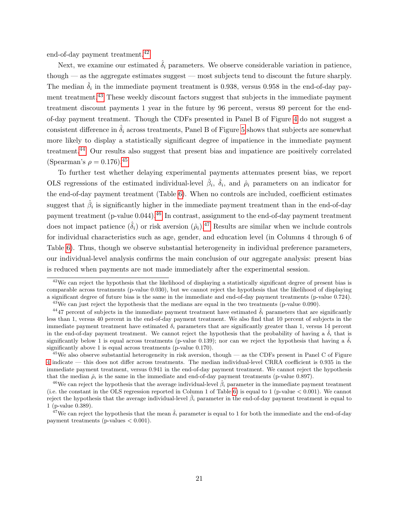end-of-day payment treatment.<sup>[42](#page-21-0)</sup>

Next, we examine our estimated  $\hat{\delta}_i$  parameters. We observe considerable variation in patience, though — as the aggregate estimates suggest — most subjects tend to discount the future sharply. The median  $\hat{\delta}_i$  in the immediate payment treatment is 0.938, versus 0.958 in the end-of-day pay-ment treatment.<sup>[43](#page-21-1)</sup> These weekly discount factors suggest that subjects in the immediate payment treatment discount payments 1 year in the future by 96 percent, versus 89 percent for the endof-day payment treatment. Though the CDFs presented in Panel B of Figure [4](#page-44-0) do not suggest a consistent difference in  $\hat{\delta}_i$  across treatments, Panel B of Figure [5](#page-45-0) shows that subjects are somewhat more likely to display a statistically significant degree of impatience in the immediate payment treatment.[44](#page-21-2) Our results also suggest that present bias and impatience are positively correlated (Spearman's  $\rho = 0.176$ ).<sup>[45](#page-21-3)</sup>

To further test whether delaying experimental payments attenuates present bias, we report OLS regressions of the estimated individual-level  $\hat{\beta}_i$ ,  $\hat{\delta}_i$ , and  $\hat{\rho}_i$  parameters on an indicator for the end-of-day payment treatment (Table [6\)](#page-38-0). When no controls are included, coefficient estimates suggest that  $\hat{\beta}_i$  is significantly higher in the immediate payment treatment than in the end-of-day payment treatment (p-value 0.044).[46](#page-21-4) In contrast, assignment to the end-of-day payment treatment does not impact patience  $(\hat{\delta}_i)$  or risk aversion  $(\hat{\rho}_i)$ .<sup>[47](#page-21-5)</sup> Results are similar when we include controls for individual characteristics such as age, gender, and education level (in Columns 4 through 6 of Table [6\)](#page-38-0). Thus, though we observe substantial heterogeneity in individual preference parameters, our individual-level analysis confirms the main conclusion of our aggregate analysis: present bias is reduced when payments are not made immediately after the experimental session.

<span id="page-21-0"></span> $42$ We can reject the hypothesis that the likelihood of displaying a statistically significant degree of present bias is comparable across treatments (p-value 0.030), but we cannot reject the hypothesis that the likelihood of displaying a significant degree of future bias is the same in the immediate and end-of-day payment treatments (p-value 0.724).

<span id="page-21-2"></span><span id="page-21-1"></span> $43\,\text{We can just reject the hypothesis that the medians are equal in the two treatments (p-value 0.090).}$ 

<sup>&</sup>lt;sup>44</sup>47 percent of subjects in the immediate payment treatment have estimated  $\hat{\delta}_i$  parameters that are significantly less than 1, versus 40 percent in the end-of-day payment treatment. We also find that 10 percent of subjects in the immediate payment treatment have estimated  $\delta_i$  parameters that are significantly greater than 1, versus 14 percent in the end-of-day payment treatment. We cannot reject the hypothesis that the probability of having a  $\hat{\delta}_i$  that is significantly below 1 is equal across treatments (p-value 0.139); nor can we reject the hypothesis that having a  $\delta_i$ significantly above 1 is equal across treatments (p-value 0.170).

<span id="page-21-3"></span> $^{45}$ We also observe substantial heterogeneity in risk aversion, though — as the CDFs present in Panel C of Figure [4](#page-44-0) indicate — this does not differ across treatments. The median individual-level CRRA coefficient is 0.935 in the immediate payment treatment, versus 0.941 in the end-of-day payment treatment. We cannot reject the hypothesis that the median  $\hat{\rho}_i$  is the same in the immediate and end-of-day payment treatments (p-value 0.897).

<span id="page-21-4"></span><sup>&</sup>lt;sup>46</sup>We can reject the hypothesis that the average individual-level  $\hat{\beta}_i$  parameter in the immediate payment treatment (i.e. the constant in the OLS regression reported in Column 1 of Table [6\)](#page-38-0) is equal to 1 (p-value < 0.001). We cannot reject the hypothesis that the average individual-level  $\hat{\beta}_i$  parameter in the end-of-day payment treatment is equal to 1 (p-value 0.389).

<span id="page-21-5"></span><sup>&</sup>lt;sup>47</sup>We can reject the hypothesis that the mean  $\hat{\delta}_i$  parameter is equal to 1 for both the immediate and the end-of-day payment treatments ( $p$ -values  $< 0.001$ ).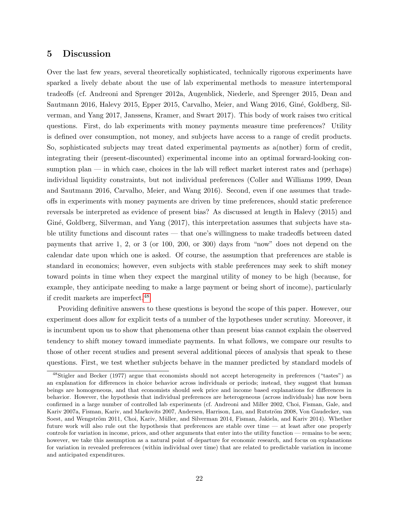## <span id="page-22-0"></span>5 Discussion

Over the last few years, several theoretically sophisticated, technically rigorous experiments have sparked a lively debate about the use of lab experimental methods to measure intertemporal tradeoffs (cf. Andreoni and Sprenger 2012a, Augenblick, Niederle, and Sprenger 2015, Dean and Sautmann 2016, Halevy 2015, Epper 2015, Carvalho, Meier, and Wang 2016, Giné, Goldberg, Silverman, and Yang 2017, Janssens, Kramer, and Swart 2017). This body of work raises two critical questions. First, do lab experiments with money payments measure time preferences? Utility is defined over consumption, not money, and subjects have access to a range of credit products. So, sophisticated subjects may treat dated experimental payments as a(nother) form of credit, integrating their (present-discounted) experimental income into an optimal forward-looking consumption plan — in which case, choices in the lab will reflect market interest rates and (perhaps) individual liquidity constraints, but not individual preferences (Coller and Williams 1999, Dean and Sautmann 2016, Carvalho, Meier, and Wang 2016). Second, even if one assumes that tradeoffs in experiments with money payments are driven by time preferences, should static preference reversals be interpreted as evidence of present bias? As discussed at length in Halevy (2015) and Giné, Goldberg, Silverman, and Yang (2017), this interpretation assumes that subjects have stable utility functions and discount rates — that one's willingness to make tradeoffs between dated payments that arrive 1, 2, or 3 (or 100, 200, or 300) days from "now" does not depend on the calendar date upon which one is asked. Of course, the assumption that preferences are stable is standard in economics; however, even subjects with stable preferences may seek to shift money toward points in time when they expect the marginal utility of money to be high (because, for example, they anticipate needing to make a large payment or being short of income), particularly if credit markets are imperfect.[48](#page-22-1)

Providing definitive answers to these questions is beyond the scope of this paper. However, our experiment does allow for explicit tests of a number of the hypotheses under scrutiny. Moreover, it is incumbent upon us to show that phenomena other than present bias cannot explain the observed tendency to shift money toward immediate payments. In what follows, we compare our results to those of other recent studies and present several additional pieces of analysis that speak to these questions. First, we test whether subjects behave in the manner predicted by standard models of

<span id="page-22-1"></span><sup>48</sup>Stigler and Becker (1977) argue that economists should not accept heterogeneity in preferences ("tastes") as an explanation for differences in choice behavior across individuals or periods; instead, they suggest that human beings are homogeneous, and that economists should seek price and income based explanations for differences in behavior. However, the hypothesis that individual preferences are heterogeneous (across individuals) has now been confirmed in a large number of controlled lab experiments (cf. Andreoni and Miller 2002, Choi, Fisman, Gale, and Kariv 2007a, Fisman, Kariv, and Markovits 2007, Andersen, Harrison, Lau, and Rutström 2008, Von Gaudecker, van Soest, and Wengström 2011, Choi, Kariv, Müller, and Silverman 2014, Fisman, Jakiela, and Kariv 2014). Whether future work will also rule out the hypothesis that preferences are stable over time  $-$  at least after one properly controls for variation in income, prices, and other arguments that enter into the utility function — remains to be seen; however, we take this assumption as a natural point of departure for economic research, and focus on explanations for variation in revealed preferences (within individual over time) that are related to predictable variation in income and anticipated expenditures.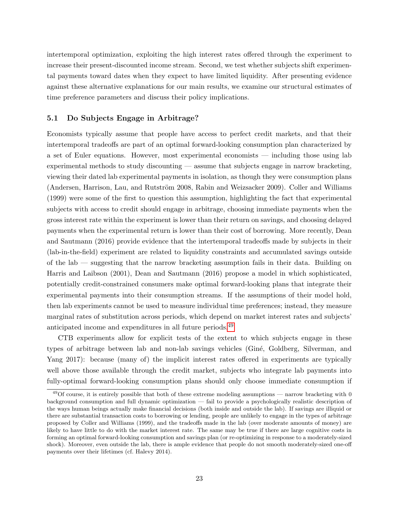intertemporal optimization, exploiting the high interest rates offered through the experiment to increase their present-discounted income stream. Second, we test whether subjects shift experimental payments toward dates when they expect to have limited liquidity. After presenting evidence against these alternative explanations for our main results, we examine our structural estimates of time preference parameters and discuss their policy implications.

#### 5.1 Do Subjects Engage in Arbitrage?

Economists typically assume that people have access to perfect credit markets, and that their intertemporal tradeoffs are part of an optimal forward-looking consumption plan characterized by a set of Euler equations. However, most experimental economists — including those using lab experimental methods to study discounting — assume that subjects engage in narrow bracketing, viewing their dated lab experimental payments in isolation, as though they were consumption plans (Andersen, Harrison, Lau, and Rutström 2008, Rabin and Weizsacker 2009). Coller and Williams (1999) were some of the first to question this assumption, highlighting the fact that experimental subjects with access to credit should engage in arbitrage, choosing immediate payments when the gross interest rate within the experiment is lower than their return on savings, and choosing delayed payments when the experimental return is lower than their cost of borrowing. More recently, Dean and Sautmann (2016) provide evidence that the intertemporal tradeoffs made by subjects in their (lab-in-the-field) experiment are related to liquidity constraints and accumulated savings outside of the lab — suggesting that the narrow bracketing assumption fails in their data. Building on Harris and Laibson (2001), Dean and Sautmann (2016) propose a model in which sophisticated, potentially credit-constrained consumers make optimal forward-looking plans that integrate their experimental payments into their consumption streams. If the assumptions of their model hold, then lab experiments cannot be used to measure individual time preferences; instead, they measure marginal rates of substitution across periods, which depend on market interest rates and subjects' anticipated income and expenditures in all future periods.[49](#page-23-0)

CTB experiments allow for explicit tests of the extent to which subjects engage in these types of arbitrage between lab and non-lab savings vehicles (Giné, Goldberg, Silverman, and Yang 2017): because (many of) the implicit interest rates offered in experiments are typically well above those available through the credit market, subjects who integrate lab payments into fully-optimal forward-looking consumption plans should only choose immediate consumption if

<span id="page-23-0"></span> $^{49}$ Of course, it is entirely possible that both of these extreme modeling assumptions — narrow bracketing with 0 background consumption and full dynamic optimization — fail to provide a psychologically realistic description of the ways human beings actually make financial decisions (both inside and outside the lab). If savings are illiquid or there are substantial transaction costs to borrowing or lending, people are unlikely to engage in the types of arbitrage proposed by Coller and Williams (1999), and the tradeoffs made in the lab (over moderate amounts of money) are likely to have little to do with the market interest rate. The same may be true if there are large cognitive costs in forming an optimal forward-looking consumption and savings plan (or re-optimizing in response to a moderately-sized shock). Moreover, even outside the lab, there is ample evidence that people do not smooth moderately-sized one-off payments over their lifetimes (cf. Halevy 2014).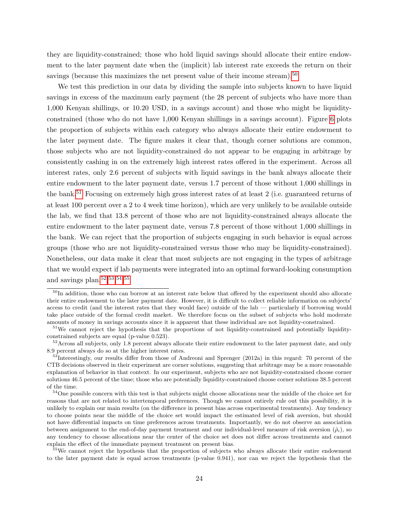they are liquidity-constrained; those who hold liquid savings should allocate their entire endowment to the later payment date when the (implicit) lab interest rate exceeds the return on their savings (because this maximizes the net present value of their income stream).<sup>[50](#page-24-0)</sup>

We test this prediction in our data by dividing the sample into subjects known to have liquid savings in excess of the maximum early payment (the 28 percent of subjects who have more than 1,000 Kenyan shillings, or 10.20 USD, in a savings account) and those who might be liquidityconstrained (those who do not have 1,000 Kenyan shillings in a savings account). Figure [6](#page-46-0) plots the proportion of subjects within each category who always allocate their entire endowment to the later payment date. The figure makes it clear that, though corner solutions are common, those subjects who are not liquidity-constrained do not appear to be engaging in arbitrage by consistently cashing in on the extremely high interest rates offered in the experiment. Across all interest rates, only 2.6 percent of subjects with liquid savings in the bank always allocate their entire endowment to the later payment date, versus 1.7 percent of those without 1,000 shillings in the bank.[51](#page-24-1) Focusing on extremely high gross interest rates of at least 2 (i.e. guaranteed returns of at least 100 percent over a 2 to 4 week time horizon), which are very unlikely to be available outside the lab, we find that 13.8 percent of those who are not liquidity-constrained always allocate the entire endowment to the later payment date, versus 7.8 percent of those without 1,000 shillings in the bank. We can reject that the proportion of subjects engaging in such behavior is equal across groups (those who are not liquidity-constrained versus those who may be liquidity-constrained). Nonetheless, our data make it clear that most subjects are not engaging in the types of arbitrage that we would expect if lab payments were integrated into an optimal forward-looking consumption and savings plan.<sup>[52](#page-24-2),[53](#page-24-3),[54](#page-24-4),[55](#page-24-5)</sup>

<span id="page-24-0"></span> $50$ In addition, those who can borrow at an interest rate below that offered by the experiment should also allocate their entire endowment to the later payment date. However, it is difficult to collect reliable information on subjects' access to credit (and the interest rates that they would face) outside of the lab — particularly if borrowing would take place outside of the formal credit market. We therefore focus on the subset of subjects who hold moderate amounts of money in savings accounts since it is apparent that these individual are not liquidity-constrained.

<span id="page-24-1"></span><sup>&</sup>lt;sup>51</sup>We cannot reject the hypothesis that the proportions of not liquidity-constrained and potentially liquidityconstrained subjects are equal (p-value 0.523).

<span id="page-24-2"></span> $52$ Across all subjects, only 1.8 percent always allocate their entire endowment to the later payment date, and only 8.9 percent always do so at the higher interest rates.

<span id="page-24-3"></span><sup>&</sup>lt;sup>53</sup>Interestingly, our results differ from those of Andreoni and Sprenger (2012a) in this regard: 70 percent of the CTB decisions observed in their experiment are corner solutions, suggesting that arbitrage may be a more reasonable explanation of behavior in that context. In our experiment, subjects who are not liquidity-constrained choose corner solutions 46.5 percent of the time; those who are potentially liquidity-constrained choose corner solutions 38.5 percent of the time.

<span id="page-24-4"></span><sup>&</sup>lt;sup>54</sup>One possible concern with this test is that subjects might choose allocations near the middle of the choice set for reasons that are not related to intertemporal preferences. Though we cannot entirely rule out this possibility, it is unlikely to explain our main results (on the difference in present bias across experimental treatments). Any tendency to choose points near the middle of the choice set would impact the estimated level of risk aversion, but should not have differential impacts on time preferences across treatments. Importantly, we do not observe an association between assignment to the end-of-day payment treatment and our individual-level measure of risk aversion  $(\hat{\rho}_i)$ , so any tendency to choose allocations near the center of the choice set does not differ across treatments and cannot explain the effect of the immediate payment treatment on present bias.

<span id="page-24-5"></span><sup>&</sup>lt;sup>55</sup>We cannot reject the hypothesis that the proportion of subjects who always allocate their entire endowment to the later payment date is equal across treatments (p-value 0.941), nor can we reject the hypothesis that the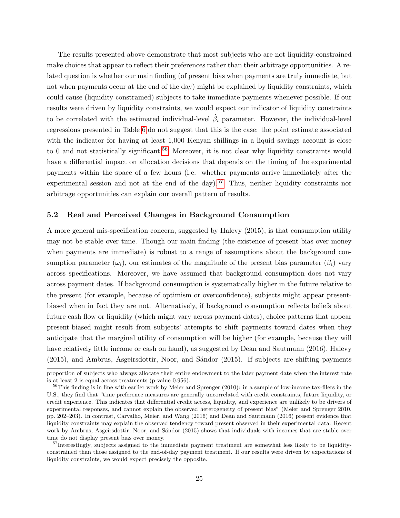The results presented above demonstrate that most subjects who are not liquidity-constrained make choices that appear to reflect their preferences rather than their arbitrage opportunities. A related question is whether our main finding (of present bias when payments are truly immediate, but not when payments occur at the end of the day) might be explained by liquidity constraints, which could cause (liquidity-constrained) subjects to take immediate payments whenever possible. If our results were driven by liquidity constraints, we would expect our indicator of liquidity constraints to be correlated with the estimated individual-level  $\hat{\beta}_i$  parameter. However, the individual-level regressions presented in Table [6](#page-38-0) do not suggest that this is the case: the point estimate associated with the indicator for having at least 1,000 Kenyan shillings in a liquid savings account is close to 0 and not statistically significant.<sup>[56](#page-25-0)</sup> Moreover, it is not clear why liquidity constraints would have a differential impact on allocation decisions that depends on the timing of the experimental payments within the space of a few hours (i.e. whether payments arrive immediately after the experimental session and not at the end of the day).<sup>[57](#page-25-1)</sup> Thus, neither liquidity constraints nor arbitrage opportunities can explain our overall pattern of results.

#### 5.2 Real and Perceived Changes in Background Consumption

A more general mis-specification concern, suggested by Halevy (2015), is that consumption utility may not be stable over time. Though our main finding (the existence of present bias over money when payments are immediate) is robust to a range of assumptions about the background consumption parameter  $(\omega_i)$ , our estimates of the magnitude of the present bias parameter  $(\beta_i)$  vary across specifications. Moreover, we have assumed that background consumption does not vary across payment dates. If background consumption is systematically higher in the future relative to the present (for example, because of optimism or overconfidence), subjects might appear presentbiased when in fact they are not. Alternatively, if background consumption reflects beliefs about future cash flow or liquidity (which might vary across payment dates), choice patterns that appear present-biased might result from subjects' attempts to shift payments toward dates when they anticipate that the marginal utility of consumption will be higher (for example, because they will have relatively little income or cash on hand), as suggested by Dean and Sautmann (2016), Halevy (2015), and Ambrus, Asgeirsdottir, Noor, and Sándor (2015). If subjects are shifting payments

proportion of subjects who always allocate their entire endowment to the later payment date when the interest rate is at least 2 is equal across treatments (p-value 0.956).

<span id="page-25-0"></span><sup>56</sup>This finding is in line with earlier work by Meier and Sprenger (2010): in a sample of low-income tax-filers in the U.S., they find that "time preference measures are generally uncorrelated with credit constraints, future liquidity, or credit experience. This indicates that differential credit access, liquidity, and experience are unlikely to be drivers of experimental responses, and cannot explain the observed heterogeneity of present bias" (Meier and Sprenger 2010, pp. 202–203). In contrast, Carvalho, Meier, and Wang (2016) and Dean and Sautmann (2016) present evidence that liquidity constraints may explain the observed tendency toward present observed in their experimental data. Recent work by Ambrus, Asgeirsdottir, Noor, and Sándor (2015) shows that individuals with incomes that are stable over time do not display present bias over money.

<span id="page-25-1"></span><sup>&</sup>lt;sup>57</sup>Interestingly, subjects assigned to the immediate payment treatment are somewhat less likely to be liquidityconstrained than those assigned to the end-of-day payment treatment. If our results were driven by expectations of liquidity constraints, we would expect precisely the opposite.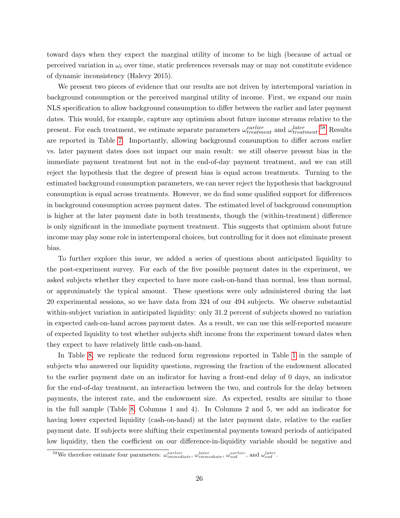toward days when they expect the marginal utility of income to be high (because of actual or perceived variation in  $\omega_i$  over time, static preferences reversals may or may not constitute evidence of dynamic inconsistency (Halevy 2015).

We present two pieces of evidence that our results are not driven by intertemporal variation in background consumption or the perceived marginal utility of income. First, we expand our main NLS specification to allow background consumption to differ between the earlier and later payment dates. This would, for example, capture any optimism about future income streams relative to the present. For each treatment, we estimate separate parameters  $\omega_{treatment}^{earlier}$  and  $\omega_{treatment}^{later}$ .<sup>[58](#page-26-0)</sup> Results are reported in Table [7.](#page-39-0) Importantly, allowing background consumption to differ across earlier vs. later payment dates does not impact our main result: we still observe present bias in the immediate payment treatment but not in the end-of-day payment treatment, and we can still reject the hypothesis that the degree of present bias is equal across treatments. Turning to the estimated background consumption parameters, we can never reject the hypothesis that background consumption is equal across treatments. However, we do find some qualified support for differences in background consumption across payment dates. The estimated level of background consumption is higher at the later payment date in both treatments, though the (within-treatment) difference is only significant in the immediate payment treatment. This suggests that optimism about future income may play some role in intertemporal choices, but controlling for it does not eliminate present bias.

To further explore this issue, we added a series of questions about anticipated liquidity to the post-experiment survey. For each of the five possible payment dates in the experiment, we asked subjects whether they expected to have more cash-on-hand than normal, less than normal, or approximately the typical amount. These questions were only administered during the last 20 experimental sessions, so we have data from 324 of our 494 subjects. We observe substantial within-subject variation in anticipated liquidity: only 31.2 percent of subjects showed no variation in expected cash-on-hand across payment dates. As a result, we can use this self-reported measure of expected liquidity to test whether subjects shift income from the experiment toward dates when they expect to have relatively little cash-on-hand.

In Table [8,](#page-40-0) we replicate the reduced form regressions reported in Table [1](#page-33-0) in the sample of subjects who answered our liquidity questions, regressing the fraction of the endowment allocated to the earlier payment date on an indicator for having a front-end delay of 0 days, an indicator for the end-of-day treatment, an interaction between the two, and controls for the delay between payments, the interest rate, and the endowment size. As expected, results are similar to those in the full sample (Table [8,](#page-40-0) Columns 1 and 4). In Columns 2 and 5, we add an indicator for having lower expected liquidity (cash-on-hand) at the later payment date, relative to the earlier payment date. If subjects were shifting their experimental payments toward periods of anticipated low liquidity, then the coefficient on our difference-in-liquidity variable should be negative and

<span id="page-26-0"></span><sup>&</sup>lt;sup>58</sup>We therefore estimate four parameters:  $\omega_{immediate}^{earlier}$ ,  $\omega_{immediate}^{later}$ ,  $\omega_{eod}^{earlier}$ , and  $\omega_{eod}^{later}$ .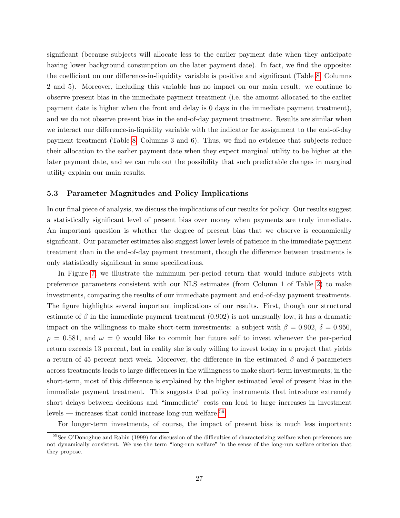significant (because subjects will allocate less to the earlier payment date when they anticipate having lower background consumption on the later payment date). In fact, we find the opposite: the coefficient on our difference-in-liquidity variable is positive and significant (Table [8,](#page-40-0) Columns 2 and 5). Moreover, including this variable has no impact on our main result: we continue to observe present bias in the immediate payment treatment (i.e. the amount allocated to the earlier payment date is higher when the front end delay is 0 days in the immediate payment treatment), and we do not observe present bias in the end-of-day payment treatment. Results are similar when we interact our difference-in-liquidity variable with the indicator for assignment to the end-of-day payment treatment (Table [8,](#page-40-0) Columns 3 and 6). Thus, we find no evidence that subjects reduce their allocation to the earlier payment date when they expect marginal utility to be higher at the later payment date, and we can rule out the possibility that such predictable changes in marginal utility explain our main results.

#### 5.3 Parameter Magnitudes and Policy Implications

In our final piece of analysis, we discuss the implications of our results for policy. Our results suggest a statistically significant level of present bias over money when payments are truly immediate. An important question is whether the degree of present bias that we observe is economically significant. Our parameter estimates also suggest lower levels of patience in the immediate payment treatment than in the end-of-day payment treatment, though the difference between treatments is only statistically significant in some specifications.

In Figure [7,](#page-47-0) we illustrate the minimum per-period return that would induce subjects with preference parameters consistent with our NLS estimates (from Column 1 of Table [2\)](#page-34-0) to make investments, comparing the results of our immediate payment and end-of-day payment treatments. The figure highlights several important implications of our results. First, though our structural estimate of  $\beta$  in the immediate payment treatment (0.902) is not unusually low, it has a dramatic impact on the willingness to make short-term investments: a subject with  $\beta = 0.902$ ,  $\delta = 0.950$ ,  $\rho = 0.581$ , and  $\omega = 0$  would like to commit her future self to invest whenever the per-period return exceeds 13 percent, but in reality she is only willing to invest today in a project that yields a return of 45 percent next week. Moreover, the difference in the estimated  $\beta$  and  $\delta$  parameters across treatments leads to large differences in the willingness to make short-term investments; in the short-term, most of this difference is explained by the higher estimated level of present bias in the immediate payment treatment. This suggests that policy instruments that introduce extremely short delays between decisions and "immediate" costs can lead to large increases in investment levels — increases that could increase long-run welfare.<sup>[59](#page-27-0)</sup>

For longer-term investments, of course, the impact of present bias is much less important:

<span id="page-27-0"></span><sup>&</sup>lt;sup>59</sup>See O'Donoghue and Rabin (1999) for discussion of the difficulties of characterizing welfare when preferences are not dynamically consistent. We use the term "long-run welfare" in the sense of the long-run welfare criterion that they propose.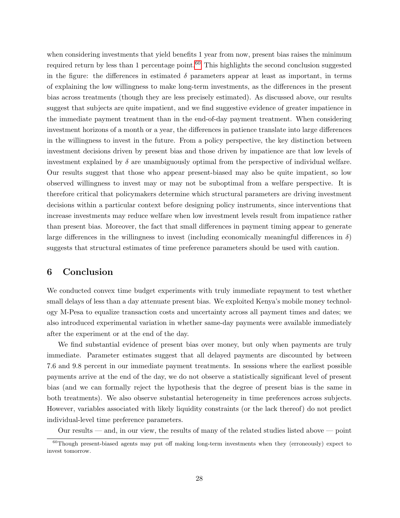when considering investments that yield benefits 1 year from now, present bias raises the minimum required return by less than 1 percentage point.<sup>[60](#page-28-1)</sup> This highlights the second conclusion suggested in the figure: the differences in estimated  $\delta$  parameters appear at least as important, in terms of explaining the low willingness to make long-term investments, as the differences in the present bias across treatments (though they are less precisely estimated). As discussed above, our results suggest that subjects are quite impatient, and we find suggestive evidence of greater impatience in the immediate payment treatment than in the end-of-day payment treatment. When considering investment horizons of a month or a year, the differences in patience translate into large differences in the willingness to invest in the future. From a policy perspective, the key distinction between investment decisions driven by present bias and those driven by impatience are that low levels of investment explained by  $\delta$  are unambiguously optimal from the perspective of individual welfare. Our results suggest that those who appear present-biased may also be quite impatient, so low observed willingness to invest may or may not be suboptimal from a welfare perspective. It is therefore critical that policymakers determine which structural parameters are driving investment decisions within a particular context before designing policy instruments, since interventions that increase investments may reduce welfare when low investment levels result from impatience rather than present bias. Moreover, the fact that small differences in payment timing appear to generate large differences in the willingness to invest (including economically meaningful differences in  $\delta$ ) suggests that structural estimates of time preference parameters should be used with caution.

## <span id="page-28-0"></span>6 Conclusion

We conducted convex time budget experiments with truly immediate repayment to test whether small delays of less than a day attenuate present bias. We exploited Kenya's mobile money technology M-Pesa to equalize transaction costs and uncertainty across all payment times and dates; we also introduced experimental variation in whether same-day payments were available immediately after the experiment or at the end of the day.

We find substantial evidence of present bias over money, but only when payments are truly immediate. Parameter estimates suggest that all delayed payments are discounted by between 7.6 and 9.8 percent in our immediate payment treatments. In sessions where the earliest possible payments arrive at the end of the day, we do not observe a statistically significant level of present bias (and we can formally reject the hypothesis that the degree of present bias is the same in both treatments). We also observe substantial heterogeneity in time preferences across subjects. However, variables associated with likely liquidity constraints (or the lack thereof) do not predict individual-level time preference parameters.

<span id="page-28-1"></span>Our results — and, in our view, the results of many of the related studies listed above — point

<sup>&</sup>lt;sup>60</sup>Though present-biased agents may put off making long-term investments when they (erroneously) expect to invest tomorrow.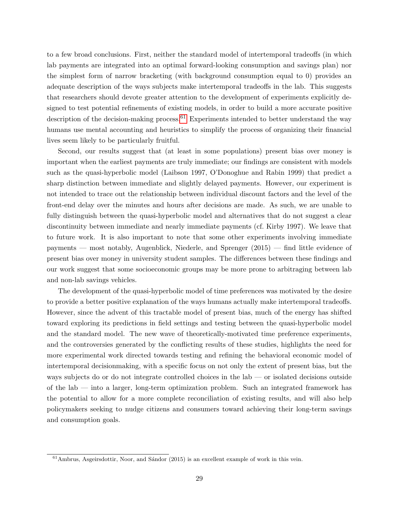to a few broad conclusions. First, neither the standard model of intertemporal tradeoffs (in which lab payments are integrated into an optimal forward-looking consumption and savings plan) nor the simplest form of narrow bracketing (with background consumption equal to 0) provides an adequate description of the ways subjects make intertemporal tradeoffs in the lab. This suggests that researchers should devote greater attention to the development of experiments explicitly designed to test potential refinements of existing models, in order to build a more accurate positive description of the decision-making process. $61$  Experiments intended to better understand the way humans use mental accounting and heuristics to simplify the process of organizing their financial lives seem likely to be particularly fruitful.

Second, our results suggest that (at least in some populations) present bias over money is important when the earliest payments are truly immediate; our findings are consistent with models such as the quasi-hyperbolic model (Laibson 1997, O'Donoghue and Rabin 1999) that predict a sharp distinction between immediate and slightly delayed payments. However, our experiment is not intended to trace out the relationship between individual discount factors and the level of the front-end delay over the minutes and hours after decisions are made. As such, we are unable to fully distinguish between the quasi-hyperbolic model and alternatives that do not suggest a clear discontinuity between immediate and nearly immediate payments (cf. Kirby 1997). We leave that to future work. It is also important to note that some other experiments involving immediate payments — most notably, Augenblick, Niederle, and Sprenger (2015) — find little evidence of present bias over money in university student samples. The differences between these findings and our work suggest that some socioeconomic groups may be more prone to arbitraging between lab and non-lab savings vehicles.

The development of the quasi-hyperbolic model of time preferences was motivated by the desire to provide a better positive explanation of the ways humans actually make intertemporal tradeoffs. However, since the advent of this tractable model of present bias, much of the energy has shifted toward exploring its predictions in field settings and testing between the quasi-hyperbolic model and the standard model. The new wave of theoretically-motivated time preference experiments, and the controversies generated by the conflicting results of these studies, highlights the need for more experimental work directed towards testing and refining the behavioral economic model of intertemporal decisionmaking, with a specific focus on not only the extent of present bias, but the ways subjects do or do not integrate controlled choices in the lab — or isolated decisions outside of the lab — into a larger, long-term optimization problem. Such an integrated framework has the potential to allow for a more complete reconciliation of existing results, and will also help policymakers seeking to nudge citizens and consumers toward achieving their long-term savings and consumption goals.

<span id="page-29-0"></span> $61$ Ambrus, Asgeirsdottir, Noor, and Sándor (2015) is an excellent example of work in this vein.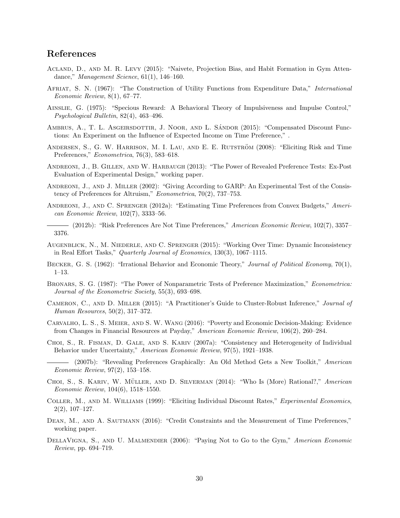## References

- Acland, D., and M. R. Levy (2015): "Naivete, Projection Bias, and Habit Formation in Gym Attendance," Management Science, 61(1), 146–160.
- AFRIAT, S. N. (1967): "The Construction of Utility Functions from Expenditure Data," International Economic Review, 8(1), 67–77.
- Ainslie, G. (1975): "Specious Reward: A Behavioral Theory of Impulsiveness and Impulse Control," Psychological Bulletin, 82(4), 463–496.
- AMBRUS, A., T. L. ASGEIRSDOTTIR, J. NOOR, AND L. SANDOR (2015): "Compensated Discount Functions: An Experiment on the Influence of Expected Income on Time Preference," .
- ANDERSEN, S., G. W. HARRISON, M. I. LAU, AND E. E. RUTSTRÖM (2008): "Eliciting Risk and Time Preferences," *Econometrica*, 76(3), 583–618.
- Andreoni, J., B. Gillen, and W. Harbaugh (2013): "The Power of Revealed Preference Tests: Ex-Post Evaluation of Experimental Design," working paper.
- ANDREONI, J., AND J. MILLER (2002): "Giving According to GARP: An Experimental Test of the Consistency of Preferences for Altruism," Econometrica, 70(2), 737-753.
- ANDREONI, J., AND C. SPRENGER (2012a): "Estimating Time Preferences from Convex Budgets," American Economic Review, 102(7), 3333–56.
- (2012b): "Risk Preferences Are Not Time Preferences," American Economic Review, 102(7), 3357– 3376.
- Augenblick, N., M. Niederle, and C. Sprenger (2015): "Working Over Time: Dynamic Inconsistency in Real Effort Tasks," Quarterly Journal of Economics, 130(3), 1067–1115.
- BECKER, G. S. (1962): "Irrational Behavior and Economic Theory," Journal of Political Economy, 70(1), 1–13.
- Bronars, S. G. (1987): "The Power of Nonparametric Tests of Preference Maximization," Econometrica: Journal of the Econometric Society, 55(3), 693–698.
- CAMERON, C., AND D. MILLER (2015): "A Practitioner's Guide to Cluster-Robust Inference," Journal of Human Resources, 50(2), 317–372.
- Carvalho, L. S., S. Meier, and S. W. Wang (2016): "Poverty and Economic Decision-Making: Evidence from Changes in Financial Resources at Payday," American Economic Review, 106(2), 260–284.
- Choi, S., R. Fisman, D. Gale, and S. Kariv (2007a): "Consistency and Heterogeneity of Individual Behavior under Uncertainty," American Economic Review, 97(5), 1921–1938.
	- (2007b): "Revealing Preferences Graphically: An Old Method Gets a New Toolkit," American Economic Review, 97(2), 153–158.
- CHOI, S., S. KARIV, W. MÜLLER, AND D. SILVERMAN (2014): "Who Is (More) Rational?," American Economic Review, 104(6), 1518–1550.
- Coller, M., and M. Williams (1999): "Eliciting Individual Discount Rates," Experimental Economics, 2(2), 107–127.
- DEAN, M., AND A. SAUTMANN (2016): "Credit Constraints and the Measurement of Time Preferences," working paper.
- DELLAVIGNA, S., AND U. MALMENDIER (2006): "Paying Not to Go to the Gym," American Economic Review, pp. 694–719.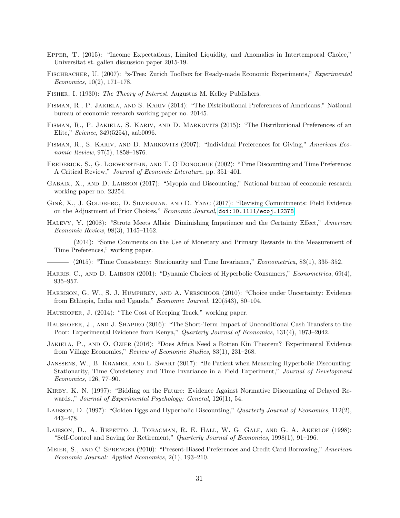- EPPER, T. (2015): "Income Expectations, Limited Liquidity, and Anomalies in Intertemporal Choice," Universitat st. gallen discussion paper 2015-19.
- Fischbacher, U. (2007): "z-Tree: Zurich Toolbox for Ready-made Economic Experiments," Experimental Economics, 10(2), 171–178.
- Fisher, I. (1930): The Theory of Interest. Augustus M. Kelley Publishers.
- Fisman, R., P. Jakiela, and S. Kariv (2014): "The Distributional Preferences of Americans," National bureau of economic research working paper no. 20145.
- Fisman, R., P. Jakiela, S. Kariv, and D. Markovits (2015): "The Distributional Preferences of an Elite," Science, 349(5254), aab0096.
- FISMAN, R., S. KARIV, AND D. MARKOVITS (2007): "Individual Preferences for Giving," American Economic Review, 97(5), 1858–1876.
- FREDERICK, S., G. LOEWENSTEIN, AND T. O'DONOGHUE (2002): "Time Discounting and Time Preference: A Critical Review," Journal of Economic Literature, pp. 351–401.
- Gabaix, X., and D. Laibson (2017): "Myopia and Discounting," National bureau of economic research working paper no. 23254.
- GINÉ, X., J. GOLDBERG, D. SILVERMAN, AND D. YANG (2017): "Revising Commitments: Field Evidence on the Adjustment of Prior Choices," Economic Journal, [doi:10.1111/ecoj.12378](doi: 10.1111/ecoj.12378).
- Halevy, Y. (2008): "Strotz Meets Allais: Diminishing Impatience and the Certainty Effect," American Economic Review, 98(3), 1145–1162.
- (2014): "Some Comments on the Use of Monetary and Primary Rewards in the Measurement of Time Preferences," working paper.
- (2015): "Time Consistency: Stationarity and Time Invariance," Econometrica, 83(1), 335–352.
- HARRIS, C., AND D. LAIBSON (2001): "Dynamic Choices of Hyperbolic Consumers," Econometrica, 69(4), 935–957.
- Harrison, G. W., S. J. Humphrey, and A. Verschoor (2010): "Choice under Uncertainty: Evidence from Ethiopia, India and Uganda," Economic Journal, 120(543), 80–104.
- HAUSHOFER, J. (2014): "The Cost of Keeping Track," working paper.
- Haushofer, J., and J. Shapiro (2016): "The Short-Term Impact of Unconditional Cash Transfers to the Poor: Experimental Evidence from Kenya," Quarterly Journal of Economics, 131(4), 1973–2042.
- Jakiela, P., and O. Ozier (2016): "Does Africa Need a Rotten Kin Theorem? Experimental Evidence from Village Economies," Review of Economic Studies, 83(1), 231–268.
- JANSSENS, W., B. KRAMER, AND L. SWART (2017): "Be Patient when Measuring Hyperbolic Discounting: Stationarity, Time Consistency and Time Invariance in a Field Experiment," Journal of Development Economics, 126, 77–90.
- Kirby, K. N. (1997): "Bidding on the Future: Evidence Against Normative Discounting of Delayed Rewards.," Journal of Experimental Psychology: General, 126(1), 54.
- LAIBSON, D. (1997): "Golden Eggs and Hyperbolic Discounting," Quarterly Journal of Economics, 112(2), 443–478.
- LAIBSON, D., A. REPETTO, J. TOBACMAN, R. E. HALL, W. G. GALE, AND G. A. AKERLOF (1998): "Self-Control and Saving for Retirement," Quarterly Journal of Economics, 1998(1), 91–196.
- Meier, S., and C. Sprenger (2010): "Present-Biased Preferences and Credit Card Borrowing," American Economic Journal: Applied Economics, 2(1), 193–210.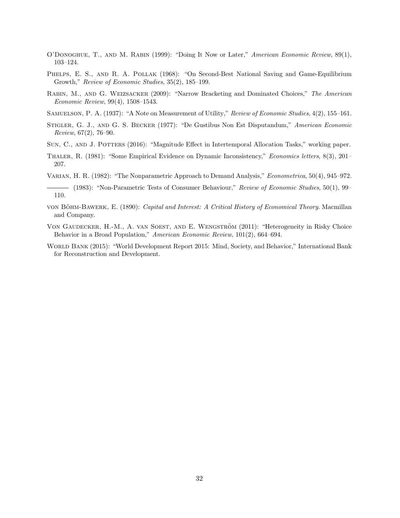- O'Donoghue, T., and M. Rabin (1999): "Doing It Now or Later," American Economic Review, 89(1), 103–124.
- PHELPS, E. S., AND R. A. POLLAK (1968): "On Second-Best National Saving and Game-Equilibrium Growth," Review of Economic Studies, 35(2), 185–199.
- Rabin, M., and G. Weizsacker (2009): "Narrow Bracketing and Dominated Choices," The American Economic Review, 99(4), 1508–1543.
- Samuelson, P. A. (1937): "A Note on Measurement of Utility," Review of Economic Studies, 4(2), 155–161.
- Stigler, G. J., and G. S. Becker (1977): "De Gustibus Non Est Disputandum," American Economic Review, 67(2), 76–90.
- Sun, C., and J. Potters (2016): "Magnitude Effect in Intertemporal Allocation Tasks," working paper.
- Thaler, R. (1981): "Some Empirical Evidence on Dynamic Inconsistency," Economics letters, 8(3), 201– 207.
- Varian, H. R. (1982): "The Nonparametric Approach to Demand Analysis," Econometrica, 50(4), 945–972.
- (1983): "Non-Parametric Tests of Consumer Behaviour," Review of Economic Studies, 50(1), 99– 110.
- von Böhm-Bawerk, E. (1890): *Capital and Interest: A Critical History of Economical Theory.* Macmillan and Company.
- VON GAUDECKER, H.-M., A. VAN SOEST, AND E. WENGSTRÖM (2011): "Heterogeneity in Risky Choice Behavior in a Broad Population," American Economic Review, 101(2), 664–694.
- World Bank (2015): "World Development Report 2015: Mind, Society, and Behavior," International Bank for Reconstruction and Development.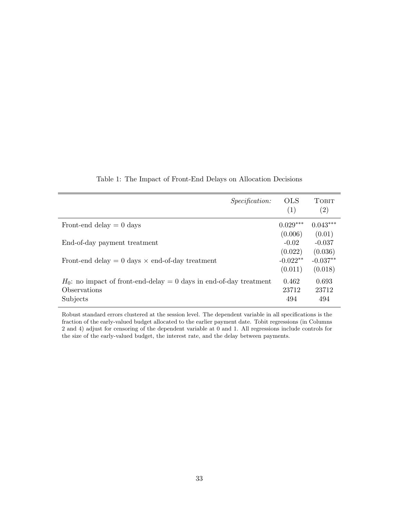| <i>Specification:</i>                                                                             | <b>OLS</b><br>(1)     | Товіт<br>$\left( 2\right)$ |
|---------------------------------------------------------------------------------------------------|-----------------------|----------------------------|
| Front-end delay $= 0$ days                                                                        | $0.029***$            | $0.043***$                 |
|                                                                                                   | (0.006)               | (0.01)                     |
| End-of-day payment treatment                                                                      | $-0.02$               | $-0.037$                   |
|                                                                                                   | (0.022)               | (0.036)                    |
| Front-end delay $= 0$ days $\times$ end-of-day treatment                                          | $-0.022**$            | $-0.037**$                 |
|                                                                                                   | (0.011)               | (0.018)                    |
| $H_0$ : no impact of front-end-delay = 0 days in end-of-day treatment<br>Observations<br>Subjects | 0.462<br>23712<br>494 | 0.693<br>23712<br>494      |
|                                                                                                   |                       |                            |

<span id="page-33-0"></span>Table 1: The Impact of Front-End Delays on Allocation Decisions

Robust standard errors clustered at the session level. The dependent variable in all specifications is the fraction of the early-valued budget allocated to the earlier payment date. Tobit regressions (in Columns 2 and 4) adjust for censoring of the dependent variable at 0 and 1. All regressions include controls for the size of the early-valued budget, the interest rate, and the delay between payments.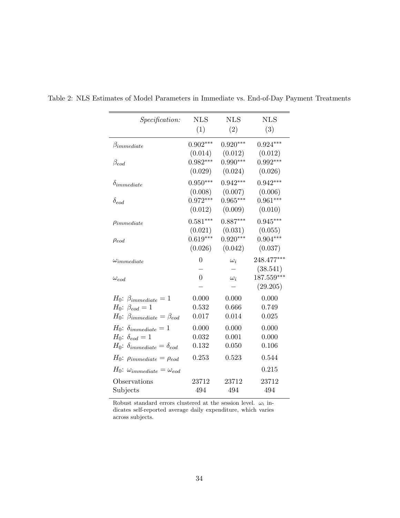| Specification:                                     | NLS            | <b>NLS</b> | <b>NLS</b> |
|----------------------------------------------------|----------------|------------|------------|
|                                                    | (1)            | (2)        | (3)        |
| $\beta_{immediate}$                                | $0.902***$     | $0.920***$ | $0.924***$ |
|                                                    | (0.014)        | (0.012)    | (0.012)    |
| $\beta_{eod}$                                      | $0.982***$     | $0.990***$ | $0.992***$ |
|                                                    | (0.029)        | (0.024)    | (0.026)    |
| $\delta_{immediate}$                               | $0.950***$     | $0.942***$ | $0.942***$ |
|                                                    | (0.008)        | (0.007)    | (0.006)    |
| $\delta_{eod}$                                     | $0.972***$     | $0.965***$ | $0.961***$ |
|                                                    | (0.012)        | (0.009)    | (0.010)    |
| $\rho_{immediate}$                                 | $0.581***$     | $0.887***$ | $0.945***$ |
|                                                    | (0.021)        | (0.031)    | (0.055)    |
| $\rho_{eod}$                                       | $0.619***$     | $0.920***$ | $0.904***$ |
|                                                    | (0.026)        | (0.042)    | (0.037)    |
| $\omega_{immediate}$                               | $\overline{0}$ | $\omega_i$ | 248.477*** |
|                                                    |                |            | (38.541)   |
| $\omega_{eod}$                                     | $\overline{0}$ | $\omega_i$ | 187.559*** |
|                                                    |                |            | (29.205)   |
| $H_0$ : $\beta_{immediate} = 1$                    | 0.000          | 0.000      | 0.000      |
| $H_0$ : $\beta_{eod} = 1$                          | 0.532          | 0.666      | 0.749      |
| $H_0$ : $\beta_{immediate} = \beta_{eod}$          | 0.017          | 0.014      | 0.025      |
| $H_0$ : $\delta_{immediate}=1$                     | 0.000          | 0.000      | 0.000      |
| $H_0$ : $\delta_{eod} = 1$                         | 0.032          | 0.001      | 0.000      |
| $H_0$ : $\delta_{immediate} = \delta_{eod}$        | 0.132          | 0.050      | 0.106      |
| $H_0$ : $\rho$ <sub>immediate</sub> = $\rho_{eod}$ | 0.253          | 0.523      | 0.544      |
| $H_0$ : $\omega_{immediate} = \omega_{eod}$        |                |            | 0.215      |
| Observations                                       | 23712          | 23712      | 23712      |
| Subjects                                           | 494            | 494        | 494        |
|                                                    |                |            |            |

<span id="page-34-0"></span>Table 2: NLS Estimates of Model Parameters in Immediate vs. End-of-Day Payment Treatments

Robust standard errors clustered at the session level.  $\omega_i$  indicates self-reported average daily expenditure, which varies across subjects.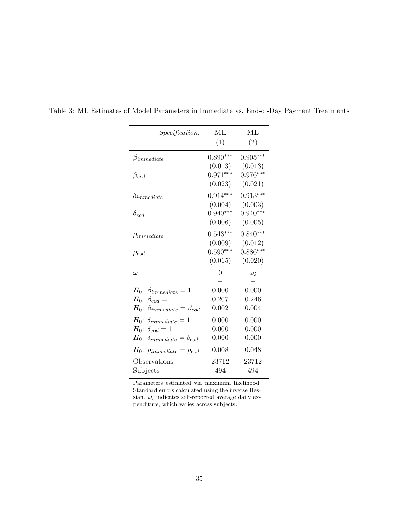| Specification:                              | МL         | ML         |
|---------------------------------------------|------------|------------|
|                                             | (1)        | (2)        |
| $\beta_{immediate}$                         | $0.890***$ | $0.905***$ |
|                                             | (0.013)    | (0.013)    |
| $\beta_{eod}$                               | $0.971***$ | $0.976***$ |
|                                             | (0.023)    | (0.021)    |
| $\delta_{immediate}$                        | $0.914***$ | $0.913***$ |
|                                             | (0.004)    | (0.003)    |
| $\delta_{eod}$                              | $0.940***$ | $0.940***$ |
|                                             | (0.006)    | (0.005)    |
| $\rho_{immediate}$                          | $0.543***$ | $0.840***$ |
|                                             | (0.009)    | (0.012)    |
| $\rho_{eod}$                                | $0.590***$ | $0.886***$ |
|                                             | (0.015)    | (0.020)    |
| $\omega$                                    | $\Omega$   | $\omega_i$ |
|                                             |            |            |
| $H_0$ : $\beta_{immediate}=1$               | 0.000      | 0.000      |
| $H_0$ : $\beta_{eod} = 1$                   | 0.207      | 0.246      |
| $H_0$ : $\beta_{immediate} = \beta_{eod}$   | 0.002      | 0.004      |
| $H_0$ : $\delta_{immediate} = 1$            | 0.000      | 0.000      |
| $H_0$ : $\delta_{eod} = 1$                  | 0.000      | 0.000      |
| $H_0$ : $\delta_{immediate} = \delta_{eod}$ | 0.000      | 0.000      |
| $H_0$ : $\rho_{immediate} = \rho_{eod}$     | 0.008      | 0.048      |
| Observations                                | 23712      | 23712      |
| Subjects                                    | 494        | 494        |

<span id="page-35-0"></span>Table 3: ML Estimates of Model Parameters in Immediate vs. End-of-Day Payment Treatments

Parameters estimated via maximum likelihood. Standard errors calculated using the inverse Hessian.  $\omega_i$  indicates self-reported average daily expenditure, which varies across subjects.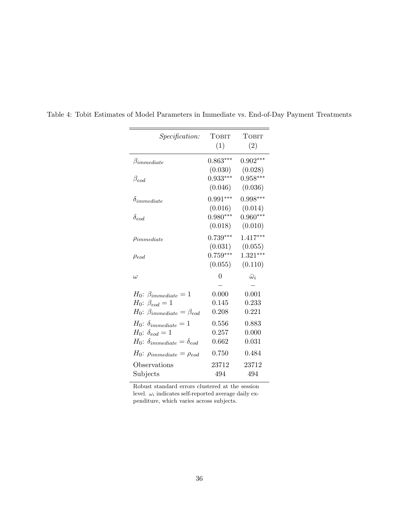| Specification:                                                                | <b>TOBIT</b><br>(1)              | Товіт<br>(2)                     |
|-------------------------------------------------------------------------------|----------------------------------|----------------------------------|
| $\beta_{immediate}$                                                           | $0.863***$                       | $0.902***$                       |
| $\beta_{eod}$                                                                 | (0.030)<br>$0.933***$<br>(0.046) | (0.028)<br>$0.958***$<br>(0.036) |
| $\delta_{immediate}$                                                          | $0.991***$                       | $0.998***$                       |
| $\delta_{eod}$                                                                | (0.016)<br>$0.980***$            | (0.014)<br>$0.960***$            |
| $\rho_{immediate}$                                                            | (0.018)<br>$0.739***$            | (0.010)<br>$1.417***$            |
| $\rho_{eod}$                                                                  | (0.031)<br>$0.759***$            | (0.055)<br>$1.321***$            |
| $\omega$                                                                      | (0.055)<br>0                     | (0.110)<br>$\bar{\omega}_i$      |
| $H_0$ : $\beta_{immediate}=1$                                                 | 0.000                            | 0.001                            |
| $H_0$ : $\beta_{eod} = 1$                                                     | 0.145<br>0.208                   | 0.233<br>0.221                   |
| $H_0$ : $\beta_{immediate} = \beta_{eod}$<br>$H_0$ : $\delta_{immediate} = 1$ | 0.556                            | 0.883                            |
| $H_0$ : $\delta_{eod} = 1$<br>$H_0$ : $\delta_{immediate} = \delta_{eod}$     | 0.257<br>0.662                   | 0.000<br>0.031                   |
| $H_0$ : $\rho$ <sub>immediate</sub> = $\rho$ <sub>eod</sub>                   | 0.750                            | 0.484                            |
| Observations<br>Subjects                                                      | 23712<br>494                     | 23712<br>494                     |

<span id="page-36-0"></span>Table 4: Tobit Estimates of Model Parameters in Immediate vs. End-of-Day Payment Treatments

Robust standard errors clustered at the session level.  $\omega_i$  indicates self-reported average daily expenditure, which varies across subjects.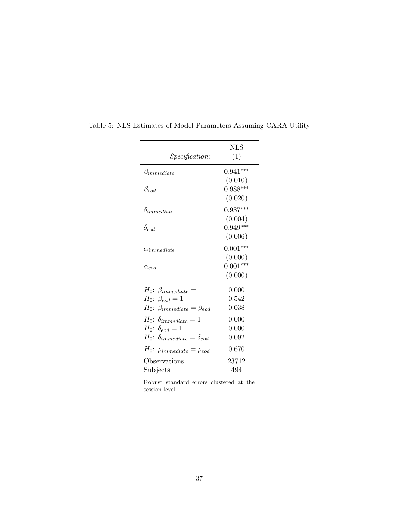<span id="page-37-0"></span>

| <b>NLS</b> |                                                                                                |
|------------|------------------------------------------------------------------------------------------------|
|            |                                                                                                |
| (1)        | Specification:                                                                                 |
| $0.941***$ | $\beta_{immediate}$                                                                            |
| (0.010)    |                                                                                                |
| $0.988***$ | $\beta_{eod}$                                                                                  |
| (0.020)    |                                                                                                |
| $0.937***$ | $\delta_{immediate}$                                                                           |
| (0.004)    |                                                                                                |
| $0.949***$ | $\delta_{eod}$                                                                                 |
| (0.006)    |                                                                                                |
| $0.001***$ | $\alpha_{immediate}$                                                                           |
| (0.000)    |                                                                                                |
| $0.001***$ | $\alpha_{eod}$                                                                                 |
| (0.000)    |                                                                                                |
| 0.000      |                                                                                                |
| 0.542      |                                                                                                |
| 0.038      | $H_0$ : $\beta_{immediate} = \beta_{eod}$                                                      |
| 0.000      |                                                                                                |
| 0.000      | $H_0$ : $\delta_{eod} = 1$                                                                     |
| 0.092      | $H_0$ : $\delta_{immediate} = \delta_{eod}$                                                    |
| 0.670      | $H_0$ : $\rho_{immediate} = \rho_{eod}$                                                        |
| 23712      | Observations                                                                                   |
| 494        | Subjects                                                                                       |
|            | $H_0$ : $\beta_{immediate}=1$<br>$H_0$ : $\beta_{eod} = 1$<br>$H_0$ : $\delta_{immediate} = 1$ |

Table 5: NLS Estimates of Model Parameters Assuming CARA Utility

Robust standard errors clustered at the session level.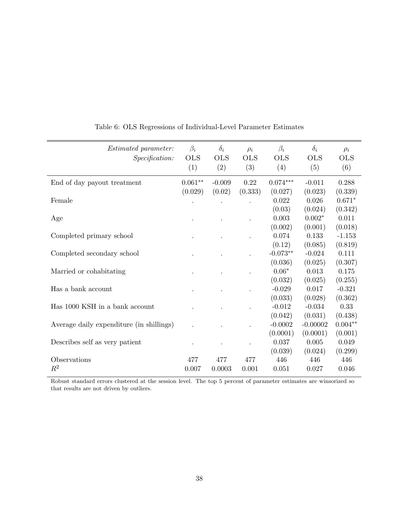| Estimated parameter:                     | $\beta_i$  | $\delta_i$ | $\rho_i$   | $\beta_i$   | $\delta_i$ | $\rho_i$   |
|------------------------------------------|------------|------------|------------|-------------|------------|------------|
| Specification:                           | <b>OLS</b> | <b>OLS</b> | <b>OLS</b> | <b>OLS</b>  | <b>OLS</b> | <b>OLS</b> |
|                                          | (1)        | (2)        | (3)        | (4)         | (5)        | (6)        |
| End of day payout treatment              | $0.061**$  | $-0.009$   | 0.22       | $0.074***$  | $-0.011$   | 0.288      |
|                                          | (0.029)    | (0.02)     | (0.333)    | (0.027)     | (0.023)    | (0.339)    |
| Female                                   |            |            |            | 0.022       | 0.026      | $0.671*$   |
|                                          |            |            |            | (0.03)      | (0.024)    | (0.342)    |
| Age                                      |            |            |            | 0.003       | $0.002*$   | 0.011      |
|                                          |            |            |            | (0.002)     | (0.001)    | (0.018)    |
| Completed primary school                 |            |            |            | 0.074       | 0.133      | $-1.153$   |
|                                          |            |            |            | (0.12)      | (0.085)    | (0.819)    |
| Completed secondary school               |            |            |            | $-0.073**$  | $-0.024$   | 0.111      |
|                                          |            |            |            | (0.036)     | (0.025)    | (0.307)    |
| Married or cohabitating                  |            |            |            | $0.06^\ast$ | 0.013      | 0.175      |
|                                          |            |            |            | (0.032)     | (0.025)    | (0.255)    |
| Has a bank account                       |            |            |            | $-0.029$    | 0.017      | $-0.321$   |
|                                          |            |            |            | (0.033)     | (0.028)    | (0.362)    |
| Has 1000 KSH in a bank account           |            |            |            | $-0.012$    | $-0.034$   | 0.33       |
|                                          |            |            |            | (0.042)     | (0.031)    | (0.438)    |
| Average daily expenditure (in shillings) |            |            |            | $-0.0002$   | $-0.00002$ | $0.004**$  |
|                                          |            |            |            | (0.0001)    | (0.0001)   | (0.001)    |
| Describes self as very patient           |            |            | $\cdot$    | 0.037       | 0.005      | 0.049      |
|                                          |            |            |            | (0.039)     | (0.024)    | (0.299)    |
| Observations                             | 477        | 477        | 477        | 446         | 446        | 446        |
| $R^2$                                    | 0.007      | 0.0003     | 0.001      | 0.051       | 0.027      | 0.046      |

<span id="page-38-0"></span>Table 6: OLS Regressions of Individual-Level Parameter Estimates

Robust standard errors clustered at the session level. The top 5 percent of parameter estimates are winsorized so that results are not driven by outliers.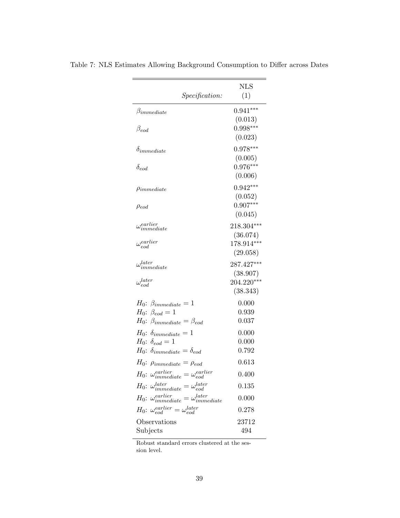| Specification:                                                      | NLS<br>(1)                       |
|---------------------------------------------------------------------|----------------------------------|
| $\beta_{immediate}$                                                 | $0.941***$                       |
| $\beta_{eod}$                                                       | (0.013)<br>$0.998***$<br>(0.023) |
| $\delta_{immediate}$                                                | $0.978***$<br>(0.005)            |
| $\delta_{eod}$                                                      | $0.976***$<br>(0.006)            |
| $\rho_{immediate}$                                                  | $0.942***$<br>(0.052)            |
| $\rho_{eod}$                                                        | $0.907***$<br>(0.045)            |
| $\omega^{earlier}_{immediate}$                                      | 218.304***<br>(36.074)           |
| $\omega_{eod}^{earlier}$                                            | 178.914***<br>(29.058)           |
| $\omega_{immediate}^{later}$                                        | 287.427***<br>(38.907)           |
| $\omega_{eod}^{later}$                                              | $204.220***$<br>(38.343)         |
| $H_0$ : $\beta_{immediate}=1$<br>$H_0$ : $\beta_{eod} = 1$          | 0.000<br>0.939                   |
| $H_0$ : $\beta_{immediate} = \beta_{eod}$                           | 0.037                            |
| $H_0$ : $\delta_{immediate} = 1$<br>$H_0$ : $\delta_{eod} = 1$      | 0.000<br>0.000                   |
| $H_0$ : $\delta_{immediate} = \delta_{eod}$                         | 0.792                            |
| $H_0$ : $\rho$ <sub>immediate</sub> = $\rho_{eod}$                  | 0.613                            |
| $H_0$ : $\omega^{earlier}_{immediate} = \omega^{earlier}_{eod}$     | 0.400                            |
| $H_0$ : $\omega_{immediate}^{later} = \omega_{eod}^{later}$         | 0.135                            |
| $H_0$ : $\omega_{immediate}^{earlier} = \omega_{immediate}^{later}$ | 0.000                            |
| $H_0$ : $\omega_{eod}^{earlier} = \omega_{eod}^{later}$             | 0.278                            |
| Observations<br>Subjects                                            | 23712<br>494                     |

<span id="page-39-0"></span>Table 7: NLS Estimates Allowing Background Consumption to Differ across Dates

Robust standard errors clustered at the session level.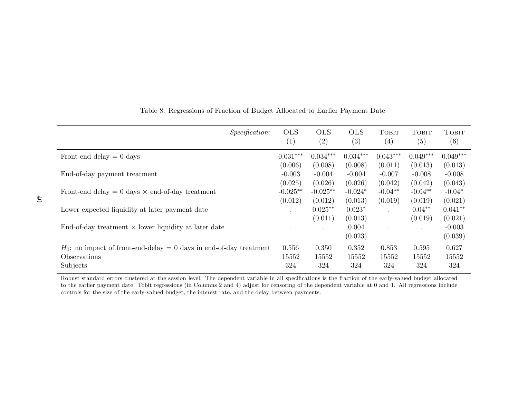| Specification:                                                        | <b>OLS</b>        | <b>OLS</b> | <b>OLS</b>                  | <b>TOBIT</b> | <b>TOBIT</b> | <b>TOBIT</b>                   |
|-----------------------------------------------------------------------|-------------------|------------|-----------------------------|--------------|--------------|--------------------------------|
|                                                                       | $\left( 1\right)$ | (2)        | (3)                         | (4)          | (5)          | (6)                            |
| Front-end delay $= 0$ days                                            | $0.031***$        | $0.034***$ | $0.034***$                  | $0.043***$   | $0.049***$   | $0.049***$                     |
|                                                                       | (0.006)           | (0.008)    | (0.008)                     | (0.011)      | (0.013)      | (0.013)                        |
| End-of-day payment treatment                                          | $-0.003$          | $-0.004$   | $-0.004$                    | $-0.007$     | $-0.008$     | $-0.008$                       |
|                                                                       | (0.025)           | (0.026)    | (0.026)                     | (0.042)      | (0.042)      | (0.043)                        |
| Front-end delay $= 0$ days $\times$ end-of-day treatment              | $-0.025**$        | $-0.025**$ | $-0.024*$                   | $-0.04**$    | $-0.04**$    | $-0.04*$                       |
|                                                                       | (0.012)           | (0.012)    | (0.013)                     | (0.019)      | (0.019)      | (0.021)                        |
| Lower expected liquidity at later payment date                        | $\cdot$           | $0.025***$ | $0.023*$                    |              | $0.04**$     | $0.041**$                      |
| End-of-day treatment $\times$ lower liquidity at later date           |                   | (0.011)    | (0.013)<br>0.004<br>(0.023) |              | (0.019)      | (0.021)<br>$-0.003$<br>(0.039) |
| $H_0$ : no impact of front-end-delay = 0 days in end-of-day treatment | 0.556             | 0.350      | 0.352                       | 0.853        | 0.595        | 0.627                          |
| Observations                                                          | 15552             | 15552      | 15552                       | 15552        | 15552        | 15552                          |
| Subjects                                                              | 324               | 324        | 324                         | 324          | 324          | 324                            |

<span id="page-40-0"></span>Table 8: Regressions of Fraction of Budget Allocated to Earlier Payment Date

Robust standard errors clustered at the session level. The dependent variable in all specifications is the fraction of the early-valued budget allocated to the earlier payment date. Tobit regressions (in Columns <sup>2</sup> and 4) adjust for censoring of the dependent variable at <sup>0</sup> and 1. All regressions includecontrols for the size of the early-valued budget, the interest rate, and the delay between payments.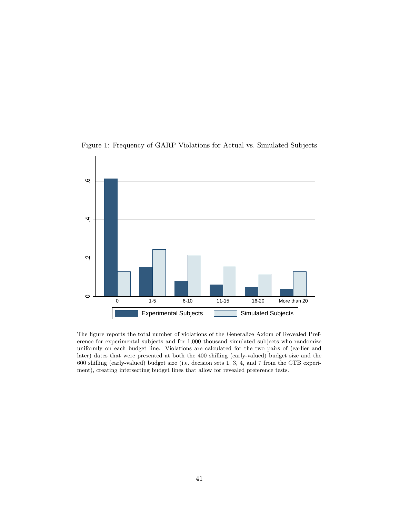

<span id="page-41-0"></span>Figure 1: Frequency of GARP Violations for Actual vs. Simulated Subjects

The figure reports the total number of violations of the Generalize Axiom of Revealed Preference for experimental subjects and for 1,000 thousand simulated subjects who randomize uniformly on each budget line. Violations are calculated for the two pairs of (earlier and later) dates that were presented at both the 400 shilling (early-valued) budget size and the 600 shilling (early-valued) budget size (i.e. decision sets 1, 3, 4, and 7 from the CTB experiment), creating intersecting budget lines that allow for revealed preference tests.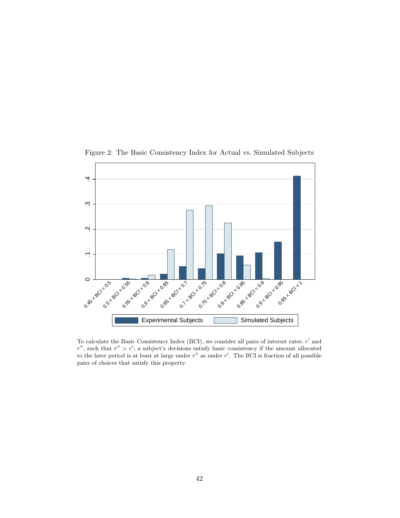

<span id="page-42-0"></span>Figure 2: The Basic Consistency Index for Actual vs. Simulated Subjects

To calculate the Basic Consistency Index (BCI), we consider all pairs of interest rates,  $r'$  and  $r''$ , such that  $r'' > r'$ ; a subject's decisions satisfy basic consistency if the amount allocated to the later period is at least at large under  $r''$  as under  $r'$ . The BCI is fraction of all possible pairs of choices that satisfy this property.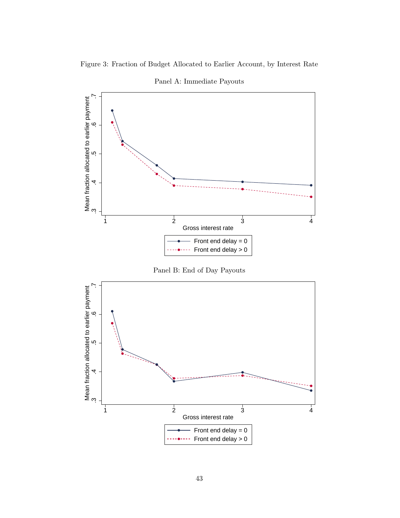<span id="page-43-0"></span>Figure 3: Fraction of Budget Allocated to Earlier Account, by Interest Rate



Panel A: Immediate Payouts

Panel B: End of Day Payouts

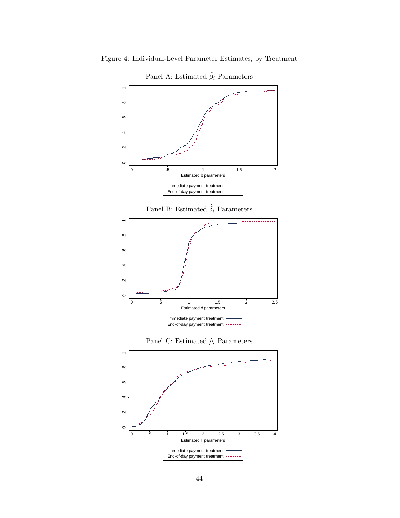

Figure 4: Individual-Level Parameter Estimates, by Treatment



<span id="page-44-0"></span>



Immediate payment treatment End-of-day payment treatment --------

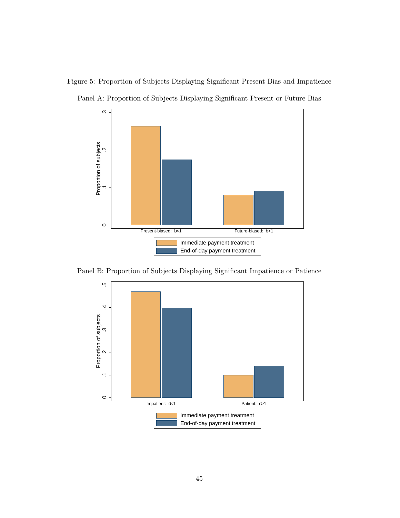Figure 5: Proportion of Subjects Displaying Significant Present Bias and Impatience

<span id="page-45-0"></span>

Panel A: Proportion of Subjects Displaying Significant Present or Future Bias

Panel B: Proportion of Subjects Displaying Significant Impatience or Patience

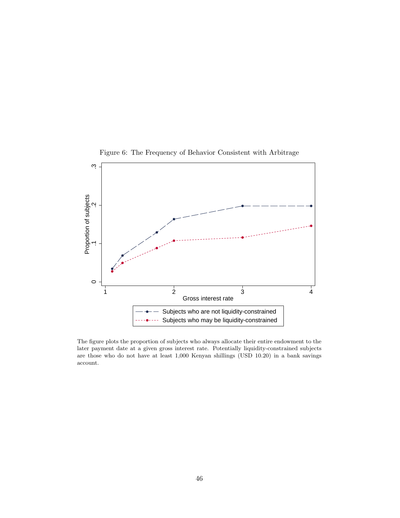<span id="page-46-0"></span>

The figure plots the proportion of subjects who always allocate their entire endowment to the later payment date at a given gross interest rate. Potentially liquidity-constrained subjects are those who do not have at least 1,000 Kenyan shillings (USD 10.20) in a bank savings account.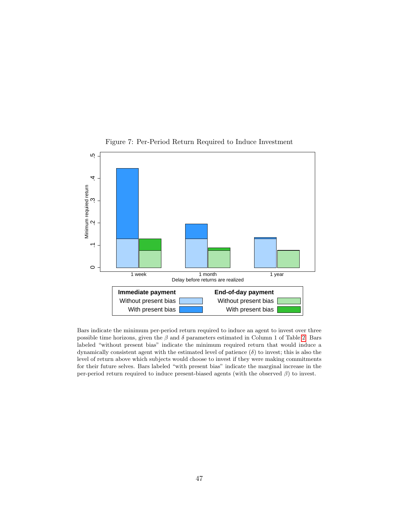

<span id="page-47-0"></span>Figure 7: Per-Period Return Required to Induce Investment

Bars indicate the minimum per-period return required to induce an agent to invest over three possible time horizons, given the  $\beta$  and  $\delta$  parameters estimated in Column 1 of Table [2.](#page-34-0) Bars labeled "without present bias" indicate the minimum required return that would induce a dynamically consistent agent with the estimated level of patience  $(\delta)$  to invest; this is also the level of return above which subjects would choose to invest if they were making commitments for their future selves. Bars labeled "with present bias" indicate the marginal increase in the per-period return required to induce present-biased agents (with the observed  $\beta$ ) to invest.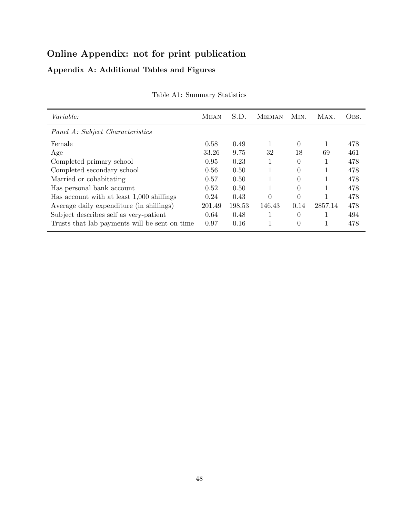# Online Appendix: not for print publication

## Appendix A: Additional Tables and Figures

| Variable:                                     | <b>MEAN</b> | S.D.   | <b>MEDIAN</b> | M <sub>IN</sub> . | MAX.    | O <sub>BS</sub> . |
|-----------------------------------------------|-------------|--------|---------------|-------------------|---------|-------------------|
| Panel A: Subject Characteristics              |             |        |               |                   |         |                   |
| Female                                        | 0.58        | 0.49   |               | $\Omega$          | 1       | 478               |
| Age                                           | 33.26       | 9.75   | 32            | 18                | 69      | 461               |
| Completed primary school                      | 0.95        | 0.23   | 1             | $\theta$          | 1       | 478               |
| Completed secondary school                    | 0.56        | 0.50   |               | $\Omega$          |         | 478               |
| Married or cohabitating                       | 0.57        | 0.50   |               | $\Omega$          | 1       | 478               |
| Has personal bank account                     | 0.52        | 0.50   | 1             | $\Omega$          | 1       | 478               |
| Has account with at least 1,000 shillings     | 0.24        | 0.43   | $\Omega$      | $\Omega$          |         | 478               |
| Average daily expenditure (in shillings)      | 201.49      | 198.53 | 146.43        | 0.14              | 2857.14 | 478               |
| Subject describes self as very-patient        | 0.64        | 0.48   | 1             | $\Omega$          | 1       | 494               |
| Trusts that lab payments will be sent on time | 0.97        | 0.16   | 1             | $\Omega$          |         | 478               |

Table A1: Summary Statistics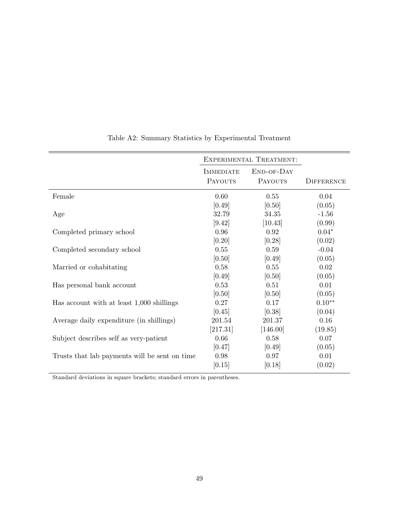|                                               |                                    | EXPERIMENTAL TREATMENT:      |                   |  |
|-----------------------------------------------|------------------------------------|------------------------------|-------------------|--|
|                                               | <b>IMMEDIATE</b><br><b>PAYOUTS</b> | END-OF-DAY<br><b>PAYOUTS</b> | <b>DIFFERENCE</b> |  |
| Female                                        | 0.60                               | 0.55                         | 0.04              |  |
| Age                                           | [0.49]                             | [0.50]                       | (0.05)            |  |
|                                               | 32.79                              | 34.35                        | $-1.56$           |  |
| Completed primary school                      | $[9.42]$                           | [10.43]                      | (0.99)            |  |
|                                               | 0.96                               | 0.92                         | $0.04*$           |  |
| Completed secondary school                    | [0.20]                             | [0.28]                       | (0.02)            |  |
|                                               | 0.55                               | 0.59                         | $-0.04$           |  |
| Married or cohabitating                       | [0.50]                             | [0.49]                       | (0.05)            |  |
|                                               | 0.58                               | 0.55                         | 0.02              |  |
| Has personal bank account                     | [0.49]                             | [0.50]                       | (0.05)            |  |
|                                               | 0.53                               | 0.51                         | 0.01              |  |
| Has account with at least 1,000 shillings     | [0.50]                             | [0.50]                       | (0.05)            |  |
|                                               | 0.27                               | 0.17                         | $0.10**$          |  |
| Average daily expenditure (in shillings)      | [0.45]                             | [0.38]                       | (0.04)            |  |
|                                               | 201.54                             | 201.37                       | 0.16              |  |
| Subject describes self as very-patient        | [217.31]                           | [146.00]                     | (19.85)           |  |
|                                               | 0.66                               | 0.58                         | 0.07              |  |
| Trusts that lab payments will be sent on time | [0.47]                             | [0.49]                       | (0.05)            |  |
|                                               | 0.98                               | 0.97                         | 0.01              |  |
|                                               | [0.15]                             | [0.18]                       | (0.02)            |  |

## Table A2: Summary Statistics by Experimental Treatment

Standard deviations in square brackets; standard errors in parentheses.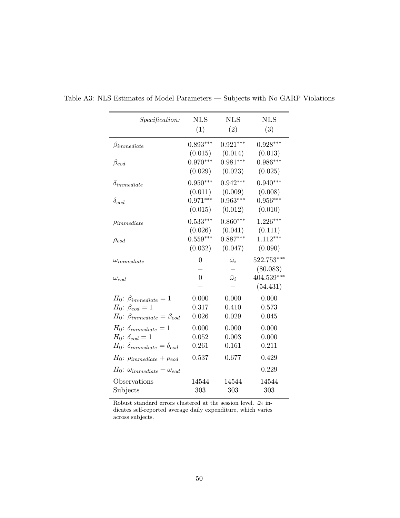| Specification:                                               | <b>NLS</b>     | <b>NLS</b>       | <b>NLS</b>   |
|--------------------------------------------------------------|----------------|------------------|--------------|
|                                                              | (1)            | (2)              | (3)          |
| $\beta_{immediate}$                                          | $0.893***$     | $0.921***$       | $0.928***$   |
|                                                              | (0.015)        | (0.014)          | (0.013)      |
| $\beta_{eod}$                                                | $0.970***$     | $0.981***$       | $0.986***$   |
|                                                              | (0.029)        | (0.023)          | (0.025)      |
| $\delta_{immediate}$                                         | $0.950***$     | $0.942***$       | $0.940***$   |
|                                                              | (0.011)        | (0.009)          | (0.008)      |
| $\delta_{eod}$                                               | $0.971***$     | $0.963***$       | $0.956***$   |
|                                                              | (0.015)        | (0.012)          | (0.010)      |
| $\rho_{immediate}$                                           | $0.533***$     | $0.860***$       | $1.226***$   |
|                                                              | (0.026)        | (0.041)          | (0.111)      |
| $\rho_{eod}$                                                 | $0.559***$     | $0.887***$       | $1.112***$   |
|                                                              | (0.032)        | (0.047)          | (0.090)      |
| $\omega_{immediate}$                                         | 0              | $\bar{\omega}_i$ | $522.753***$ |
|                                                              |                |                  |              |
|                                                              |                |                  | (80.083)     |
| $\omega_{eod}$                                               | $\overline{0}$ | $\bar{\omega}_i$ | 404.539***   |
|                                                              |                |                  | (54.431)     |
|                                                              | 0.000          | 0.000            | 0.000        |
| $H_0$ : $\beta_{immediate} = 1$<br>$H_0$ : $\beta_{eod} = 1$ | 0.317          | 0.410            | 0.573        |
| $H_0$ : $\beta_{immediate} = \beta_{eod}$                    | 0.026          | 0.029            | 0.045        |
| $H_0$ : $\delta_{immediate} = 1$                             | 0.000          | 0.000            | 0.000        |
| $H_0$ : $\delta_{eod} = 1$                                   | 0.052          | 0.003            | 0.000        |
| $H_0$ : $\delta_{immediate} = \delta_{eod}$                  | 0.261          | 0.161            | 0.211        |
| $H_0$ : $\rho$ immediate + $\rho$ eod                        | 0.537          | 0.677            | 0.429        |
| $H_0$ : $\omega_{immediate} + \omega_{eod}$                  |                |                  | 0.229        |
| Observations                                                 | 14544          | 14544            | 14544        |
| Subjects                                                     | 303            | 303              | 303          |

Table A3: NLS Estimates of Model Parameters — Subjects with No GARP Violations

Robust standard errors clustered at the session level.  $\bar{\omega}_i$  indicates self-reported average daily expenditure, which varies across subjects.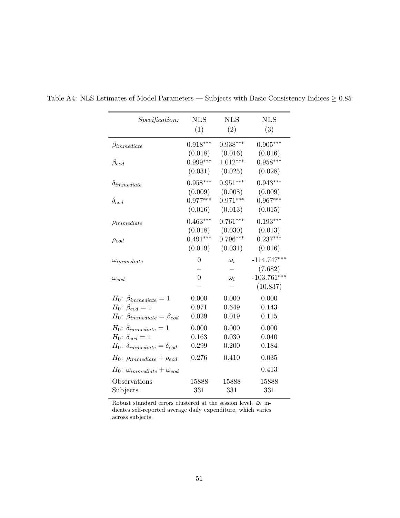| Specification:                              | <b>NLS</b><br>(1)     | <b>NLS</b><br>(2)     | <b>NLS</b><br>(3)     |
|---------------------------------------------|-----------------------|-----------------------|-----------------------|
|                                             |                       |                       |                       |
| $\beta_{immediate}$                         | $0.918***$            | $0.938***$            | $0.905***$            |
| $\beta_{eod}$                               | (0.018)<br>$0.999***$ | (0.016)<br>$1.012***$ | (0.016)<br>$0.958***$ |
|                                             | (0.031)               | (0.025)               | (0.028)               |
| $\delta_{immediate}$                        | $0.958***$            | $0.951***$            | $0.943***$            |
|                                             | (0.009)               | (0.008)               | (0.009)               |
| $\delta_{eod}$                              | $0.977***$            | $0.971***$            | $0.967***$            |
|                                             | (0.016)               | (0.013)               | (0.015)               |
| $\rho_{immediate}$                          | $0.463***$            | $0.761***$            | $0.193***$            |
|                                             | (0.018)               | (0.030)               | (0.013)               |
| $\rho_{eod}$                                | $0.491***$            | $0.796***$            | $0.237***$            |
|                                             | (0.019)               | (0.031)               | (0.016)               |
| $\omega_{immediate}$                        | $\overline{0}$        | $\omega_i$            | $-114.747***$         |
|                                             |                       |                       | (7.682)               |
| $\omega_{eod}$                              | $\overline{0}$        | $\omega_i$            | $-103.761***$         |
|                                             |                       |                       | (10.837)              |
| $H_0$ : $\beta_{immediate} = 1$             | 0.000                 | 0.000                 | 0.000                 |
| $H_0$ : $\beta_{eod} = 1$                   | 0.971                 | 0.649                 | 0.143                 |
| $H_0$ : $\beta_{immediate} = \beta_{eod}$   | 0.029                 | 0.019                 | 0.115                 |
| $H_0$ : $\delta_{immediate}=1$              | 0.000                 | 0.000                 | 0.000                 |
| $H_0$ : $\delta_{eod} = 1$                  | 0.163                 | 0.030                 | 0.040                 |
| $H_0$ : $\delta_{immediate} = \delta_{eod}$ | 0.299                 | 0.200                 | 0.184                 |
| $H_0$ : $\rho$ immediate + $\rho$ eod       | 0.276                 | 0.410                 | 0.035                 |
| $H_0$ : $\omega_{immediate} + \omega_{eod}$ |                       |                       | 0.413                 |
| Observations                                | 15888                 | 15888                 | 15888                 |
| Subjects                                    | 331                   | 331                   | 331                   |
|                                             |                       |                       |                       |

Table A4: NLS Estimates of Model Parameters — Subjects with Basic Consistency Indices  $\geq 0.85$ 

Robust standard errors clustered at the session level.  $\bar{\omega}_i$  indicates self-reported average daily expenditure, which varies across subjects.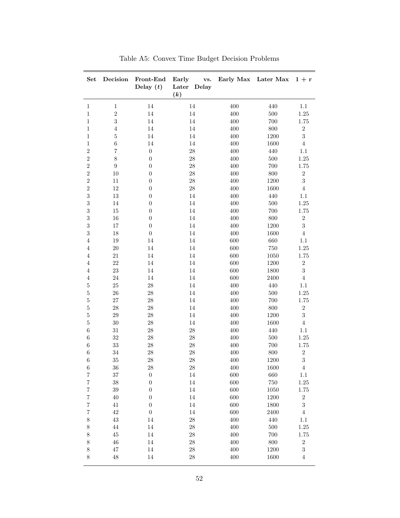| Set               | Decision         | Front-End<br>Delay $(t)$ | Early<br>Later<br>$\left( k\right)$ | vs.<br>Delay |            | Early Max Later Max | $1 + r$           |
|-------------------|------------------|--------------------------|-------------------------------------|--------------|------------|---------------------|-------------------|
| $\mathbf{1}$      | $\mathbf 1$      | $14\,$                   | $14\,$                              |              | 400        | 440                 | $1.1\,$           |
| $\mathbf{1}$      | $\overline{2}$   | $14\,$                   | $14\,$                              |              | 400        | $500\,$             | $1.25\,$          |
| $\,1$             | 3                | $14\,$                   | $14\,$                              |              | 400        | $700\,$             | $1.75\,$          |
| $\mathbf{1}$      | $\,4\,$          | 14                       | $14\,$                              |              | 400        | 800                 | $\,2$             |
| $\mathbf{1}$      | $\bf 5$          | $14\,$                   | $14\,$                              |              | 400        | 1200                | $\overline{3}$    |
| $\mathbf{1}$      | $\,6$            | $14\,$                   | $14\,$                              |              | 400        | 1600                | $\,4$             |
| $\,2$             | $\!\tau$         | $\boldsymbol{0}$         | $28\,$                              |              | 400        | 440                 | $1.1\,$           |
| $\,2$             | $8\,$            | $\boldsymbol{0}$         | $28\,$                              |              | 400        | $500\,$             | $1.25\,$          |
| $\,2$             | $\boldsymbol{9}$ | $\theta$                 | $28\,$                              |              | 400        | $700\,$             | $1.75\,$          |
| $\sqrt{2}$        | 10               | $\theta$                 | $28\,$                              |              | 400        | $800\,$             | $\,2$             |
| $\overline{2}$    | 11               | $\boldsymbol{0}$         | $28\,$                              |              | $400\,$    | $1200\,$            | $\overline{3}$    |
| $\overline{2}$    | $12\,$           | $\boldsymbol{0}$         | $28\,$                              |              | $400\,$    | $1600\,$            | $\,4\,$           |
| $\sqrt{3}$        | $13\,$           | $\boldsymbol{0}$         | $14\,$                              |              | 400        | 440                 | $1.1\,$           |
| $\sqrt{3}$        | $14\,$           | $\boldsymbol{0}$         | $14\,$                              |              | 400        | $500\,$             | $1.25\,$          |
| $\sqrt{3}$        | 15               | $\boldsymbol{0}$         | $14\,$                              |              | 400        | $700\,$             | $1.75\,$          |
| $\sqrt{3}$        | 16               | $\boldsymbol{0}$         | $14\,$                              |              | $400\,$    | $800\,$             | $\,2$             |
| $\sqrt{3}$        | $17\,$           | $\boldsymbol{0}$         | $14\,$                              |              | 400        | $1200\,$            | $\overline{3}$    |
| $\sqrt{3}$        | 18               | $\boldsymbol{0}$         | $14\,$                              |              | 400        | 1600                | $\,4$             |
| $\overline{4}$    | 19               | $14\,$                   | 14                                  |              | 600        | $660\,$             | 1.1               |
| $\overline{4}$    | 20               | $14\,$                   | $14\,$                              |              | 600        | $750\,$             | $1.25\,$          |
| $\overline{4}$    | $21\,$           | $14\,$                   | $14\,$                              |              | $600\,$    | $1050\,$            | $1.75\,$          |
| $\overline{4}$    | $22\,$           | $14\,$                   | $14\,$                              |              | $600\,$    | 1200                | $\,2$             |
| $\overline{4}$    | 23               | $14\,$                   | $14\,$                              |              | 600        | 1800                | 3                 |
| $\overline{4}$    | $24\,$           | $14\,$                   | $14\,$                              |              | 600        | 2400                | $\,4$             |
| 5                 | $25\,$           | $\sqrt{28}$              | $14\,$                              |              | 400        | 440                 | $1.1\,$           |
| $\bf 5$           | $26\,$           | $\sqrt{28}$              | $14\,$                              |              | 400        | $500\,$             | $1.25\,$          |
| $\bf 5$           | $27\,$           | $\sqrt{28}$              | 14                                  |              | 400        | 700                 | $1.75\,$          |
| $\bf 5$           | $28\,$           | $28\,$                   | 14                                  |              | 400        | $800\,$             | $\,2$             |
| $\bf 5$           | $29\,$           | $28\,$                   | 14                                  |              | 400        | 1200                | $\boldsymbol{3}$  |
| $5\,$             | 30               | $\sqrt{28}$              | $14\,$                              |              | 400        | 1600                | $\,4$             |
| $\,6\,$           | $31\,$           | $28\,$                   | $28\,$                              |              | $400\,$    | $440\,$             | $1.1\,$           |
| $\,6\,$           | $32\,$           | $28\,$                   | $28\,$                              |              | $400\,$    | $500\,$             | $1.25\,$          |
| $\,6\,$           | $33\,$           | $28\,$                   | $28\,$                              |              | 400        | $700\,$             | $1.75\,$          |
| $\,6\,$           | 34               | $28\,$                   | $28\,$                              |              | 400        | $800\,$             | $\,2$             |
| $\,6\,$           | 35               | $\sqrt{28}$              | $\sqrt{28}$                         |              | 400        | 1200                | $\boldsymbol{3}$  |
| $\,6$             | 36               | 28                       | $28\,$                              |              | $400\,$    | 1600                | $\overline{4}$    |
| $\scriptstyle{7}$ | 37               | $\boldsymbol{0}$         | 14                                  |              | $600\,$    | 660                 | 1.1               |
| $\!\tau$          | $38\,$           | $\boldsymbol{0}$         | $14\,$                              |              | 600        | $750\,$             | $1.25\,$          |
| $\,7$             | $39\,$           | $\boldsymbol{0}$         | 14                                  |              | 600        | 1050                | $1.75\,$          |
| $\sqrt{7}$        | 40               | $\boldsymbol{0}$         | 14                                  |              | 600        | 1200                | $\,2$             |
| $\!\tau$          | 41               | $\boldsymbol{0}$         | $14\,$                              |              | 600        | 1800                | $\sqrt{3}$        |
| $\!\tau$          | 42               | $\boldsymbol{0}$         | $14\,$                              |              | 600        | 2400                | $\,4$             |
| $8\,$             | 43<br>$44\,$     | 14                       | $28\,$                              |              | 400        | 440                 | $1.1\,$           |
| $8\,$<br>$8\,$    | $45\,$           | $14\,$<br>14             | $28\,$                              |              | 400        | 500<br>700          | $1.25\,$          |
| $8\,$             | $46\,$           | $14\,$                   | $28\,$<br>$\sqrt{28}$               |              | 400<br>400 | $800\,$             | $1.75\,$<br>$\,2$ |
| $8\,$             | $47\,$           | 14                       | $\sqrt{28}$                         |              | 400        | 1200                | $\sqrt{3}$        |
| $8\,$             | 48               | 14                       | $28\,$                              |              | 400        | 1600                | $\overline{4}$    |
|                   |                  |                          |                                     |              |            |                     |                   |

Table A5: Convex Time Budget Decision Problems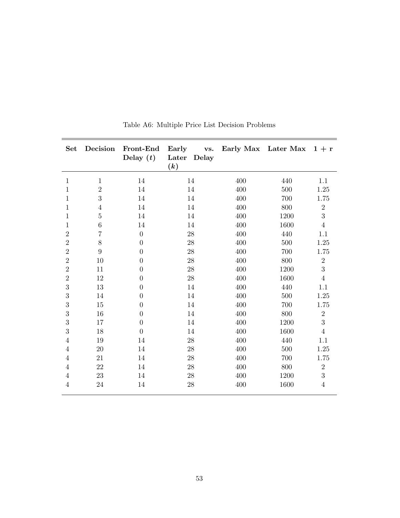| <b>Set</b>       | Decision       | Front-End<br>Delay $(t)$ | Early<br>vs.<br>Later<br>Delay<br>(k) |     | Early Max Later Max $1 + r$ |                  |
|------------------|----------------|--------------------------|---------------------------------------|-----|-----------------------------|------------------|
| 1                | $\mathbf{1}$   | 14                       | 14                                    | 400 | 440                         | 1.1              |
| $\mathbf{1}$     | $\overline{2}$ | 14                       | 14                                    | 400 | 500                         | 1.25             |
| $\mathbf{1}$     | 3              | 14                       | 14                                    | 400 | 700                         | 1.75             |
| $\mathbf{1}$     | $\overline{4}$ | 14                       | 14                                    | 400 | 800                         | $\overline{2}$   |
| 1                | $\overline{5}$ | 14                       | 14                                    | 400 | 1200                        | 3                |
| $\mathbf{1}$     | $\,6$          | 14                       | 14                                    | 400 | 1600                        | $\overline{4}$   |
| $\overline{2}$   | $\overline{7}$ | $\overline{0}$           | 28                                    | 400 | 440                         | 1.1              |
| $\overline{2}$   | $8\,$          | $\overline{0}$           | 28                                    | 400 | 500                         | 1.25             |
| $\sqrt{2}$       | 9              | $\overline{0}$           | 28                                    | 400 | 700                         | 1.75             |
| $\overline{2}$   | 10             | $\overline{0}$           | 28                                    | 400 | 800                         | $\overline{2}$   |
| $\overline{2}$   | 11             | $\overline{0}$           | $28\,$                                | 400 | 1200                        | 3                |
| $\overline{2}$   | 12             | $\overline{0}$           | 28                                    | 400 | 1600                        | $\overline{4}$   |
| 3                | 13             | $\overline{0}$           | 14                                    | 400 | 440                         | 1.1              |
| $\boldsymbol{3}$ | 14             | $\overline{0}$           | 14                                    | 400 | 500                         | 1.25             |
| 3                | 15             | $\overline{0}$           | 14                                    | 400 | 700                         | 1.75             |
| 3                | 16             | $\overline{0}$           | 14                                    | 400 | 800                         | $\overline{2}$   |
| $\boldsymbol{3}$ | 17             | $\overline{0}$           | 14                                    | 400 | 1200                        | $\boldsymbol{3}$ |
| 3                | 18             | $\theta$                 | 14                                    | 400 | 1600                        | $\overline{4}$   |
| $\overline{4}$   | $19\,$         | 14                       | 28                                    | 400 | 440                         | 1.1              |
| $\overline{4}$   | 20             | 14                       | 28                                    | 400 | 500                         | 1.25             |
| $\overline{4}$   | 21             | 14                       | 28                                    | 400 | 700                         | 1.75             |
| $\overline{4}$   | 22             | 14                       | 28                                    | 400 | 800                         | $\overline{2}$   |
| $\overline{4}$   | 23             | 14                       | 28                                    | 400 | 1200                        | $\boldsymbol{3}$ |
| $\overline{4}$   | 24             | 14                       | 28                                    | 400 | 1600                        | $\overline{4}$   |

Table A6: Multiple Price List Decision Problems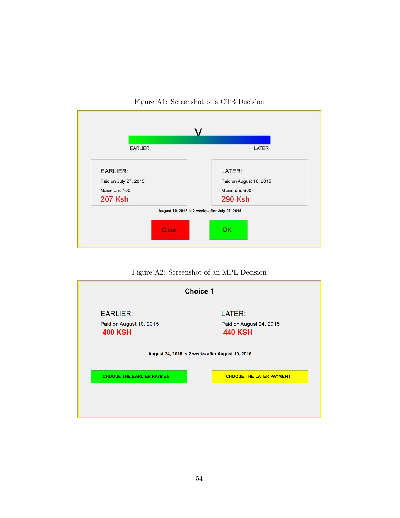

Figure A1: Screenshot of a CTB Decision

Figure A2: Screenshot of an MPL Decision

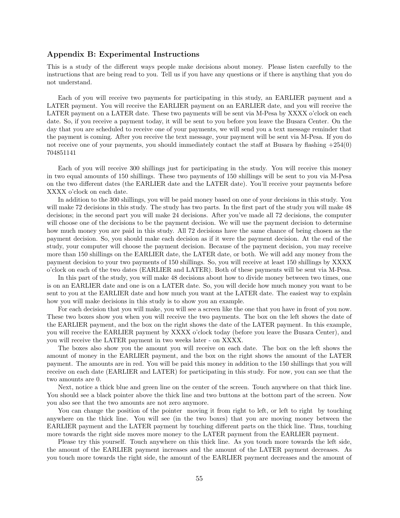#### Appendix B: Experimental Instructions

This is a study of the different ways people make decisions about money. Please listen carefully to the instructions that are being read to you. Tell us if you have any questions or if there is anything that you do not understand.

Each of you will receive two payments for participating in this study, an EARLIER payment and a LATER payment. You will receive the EARLIER payment on an EARLIER date, and you will receive the LATER payment on a LATER date. These two payments will be sent via M-Pesa by XXXX o'clock on each date. So, if you receive a payment today, it will be sent to you before you leave the Busara Center. On the day that you are scheduled to receive one of your payments, we will send you a text message reminder that the payment is coming. After you receive the text message, your payment will be sent via M-Pesa. If you do not receive one of your payments, you should immediately contact the staff at Busara by flashing +254(0) 704851141

Each of you will receive 300 shillings just for participating in the study. You will receive this money in two equal amounts of 150 shillings. These two payments of 150 shillings will be sent to you via M-Pesa on the two different dates (the EARLIER date and the LATER date). You'll receive your payments before XXXX o'clock on each date.

In addition to the 300 shillings, you will be paid money based on one of your decisions in this study. You will make 72 decisions in this study. The study has two parts. In the first part of the study you will make 48 decisions; in the second part you will make 24 decisions. After you've made all 72 decisions, the computer will choose one of the decisions to be the payment decision. We will use the payment decision to determine how much money you are paid in this study. All 72 decisions have the same chance of being chosen as the payment decision. So, you should make each decision as if it were the payment decision. At the end of the study, your computer will choose the payment decision. Because of the payment decision, you may receive more than 150 shillings on the EARLIER date, the LATER date, or both. We will add any money from the payment decision to your two payments of 150 shillings. So, you will receive at least 150 shillings by XXXX o'clock on each of the two dates (EARLIER and LATER). Both of these payments will be sent via M-Pesa.

In this part of the study, you will make 48 decisions about how to divide money between two times, one is on an EARLIER date and one is on a LATER date. So, you will decide how much money you want to be sent to you at the EARLIER date and how much you want at the LATER date. The easiest way to explain how you will make decisions in this study is to show you an example.

For each decision that you will make, you will see a screen like the one that you have in front of you now. These two boxes show you when you will receive the two payments. The box on the left shows the date of the EARLIER payment, and the box on the right shows the date of the LATER payment. In this example, you will receive the EARLIER payment by XXXX o'clock today (before you leave the Busara Center), and you will receive the LATER payment in two weeks later - on XXXX.

The boxes also show you the amount you will receive on each date. The box on the left shows the amount of money in the EARLIER payment, and the box on the right shows the amount of the LATER payment. The amounts are in red. You will be paid this money in addition to the 150 shillings that you will receive on each date (EARLIER and LATER) for participating in this study. For now, you can see that the two amounts are 0.

Next, notice a thick blue and green line on the center of the screen. Touch anywhere on that thick line. You should see a black pointer above the thick line and two buttons at the bottom part of the screen. Now you also see that the two amounts are not zero anymore.

You can change the position of the pointer moving it from right to left, or left to right by touching anywhere on the thick line. You will see (in the two boxes) that you are moving money between the EARLIER payment and the LATER payment by touching different parts on the thick line. Thus, touching more towards the right side moves more money to the LATER payment from the EARLIER payment.

Please try this yourself. Touch anywhere on this thick line. As you touch more towards the left side, the amount of the EARLIER payment increases and the amount of the LATER payment decreases. As you touch more towards the right side, the amount of the EARLIER payment decreases and the amount of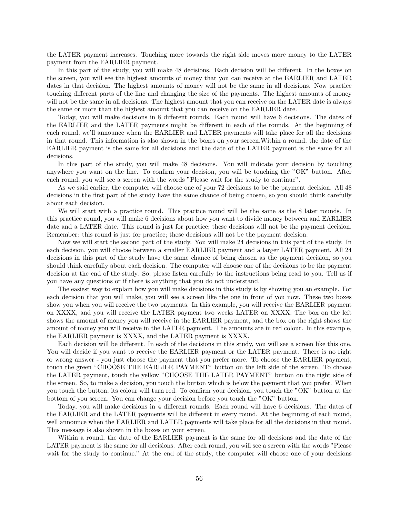the LATER payment increases. Touching more towards the right side moves more money to the LATER payment from the EARLIER payment.

In this part of the study, you will make 48 decisions. Each decision will be different. In the boxes on the screen, you will see the highest amounts of money that you can receive at the EARLIER and LATER dates in that decision. The highest amounts of money will not be the same in all decisions. Now practice touching different parts of the line and changing the size of the payments. The highest amounts of money will not be the same in all decisions. The highest amount that you can receive on the LATER date is always the same or more than the highest amount that you can receive on the EARLIER date.

Today, you will make decisions in 8 different rounds. Each round will have 6 decisions. The dates of the EARLIER and the LATER payments might be different in each of the rounds. At the beginning of each round, we'll announce when the EARLIER and LATER payments will take place for all the decisions in that round. This information is also shown in the boxes on your screen.Within a round, the date of the EARLIER payment is the same for all decisions and the date of the LATER payment is the same for all decisions.

In this part of the study, you will make 48 decisions. You will indicate your decision by touching anywhere you want on the line. To confirm your decision, you will be touching the "OK" button. After each round, you will see a screen with the words "Please wait for the study to continue".

As we said earlier, the computer will choose one of your 72 decisions to be the payment decision. All 48 decisions in the first part of the study have the same chance of being chosen, so you should think carefully about each decision.

We will start with a practice round. This practice round will be the same as the 8 later rounds. In this practice round, you will make 6 decisions about how you want to divide money between and EARLIER date and a LATER date. This round is just for practice; these decisions will not be the payment decision. Remember: this round is just for practice; these decisions will not be the payment decision.

Now we will start the second part of the study. You will make 24 decisions in this part of the study. In each decision, you will choose between a smaller EARLIER payment and a larger LATER payment. All 24 decisions in this part of the study have the same chance of being chosen as the payment decision, so you should think carefully about each decision. The computer will choose one of the decisions to be the payment decision at the end of the study. So, please listen carefully to the instructions being read to you. Tell us if you have any questions or if there is anything that you do not understand.

The easiest way to explain how you will make decisions in this study is by showing you an example. For each decision that you will make, you will see a screen like the one in front of you now. These two boxes show you when you will receive the two payments. In this example, you will receive the EARLIER payment on XXXX, and you will receive the LATER payment two weeks LATER on XXXX. The box on the left shows the amount of money you will receive in the EARLIER payment, and the box on the right shows the amount of money you will receive in the LATER payment. The amounts are in red colour. In this example, the EARLIER payment is XXXX, and the LATER payment is XXXX.

Each decision will be different. In each of the decisions in this study, you will see a screen like this one. You will decide if you want to receive the EARLIER payment or the LATER payment. There is no right or wrong answer - you just choose the payment that you prefer more. To choose the EARLIER payment, touch the green "CHOOSE THE EARLIER PAYMENT" button on the left side of the screen. To choose the LATER payment, touch the yellow "CHOOSE THE LATER PAYMENT" button on the right side of the screen. So, to make a decision, you touch the button which is below the payment that you prefer. When you touch the button, its colour will turn red. To confirm your decision, you touch the "OK" button at the bottom of you screen. You can change your decision before you touch the "OK" button.

Today, you will make decisions in 4 different rounds. Each round will have 6 decisions. The dates of the EARLIER and the LATER payments will be different in every round. At the beginning of each round, well announce when the EARLIER and LATER payments will take place for all the decisions in that round. This message is also shown in the boxes on your screen.

Within a round, the date of the EARLIER payment is the same for all decisions and the date of the LATER payment is the same for all decisions. After each round, you will see a screen with the words "Please wait for the study to continue." At the end of the study, the computer will choose one of your decisions